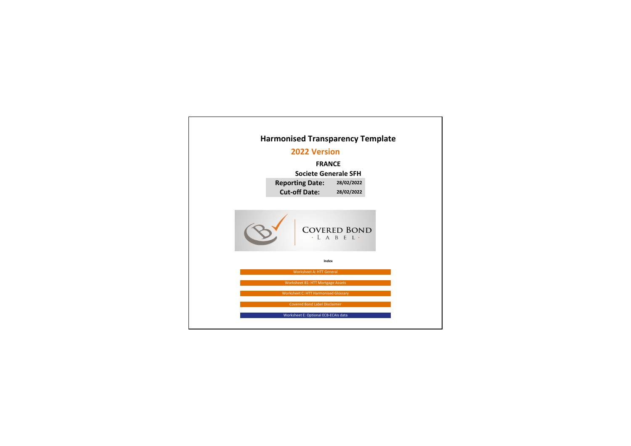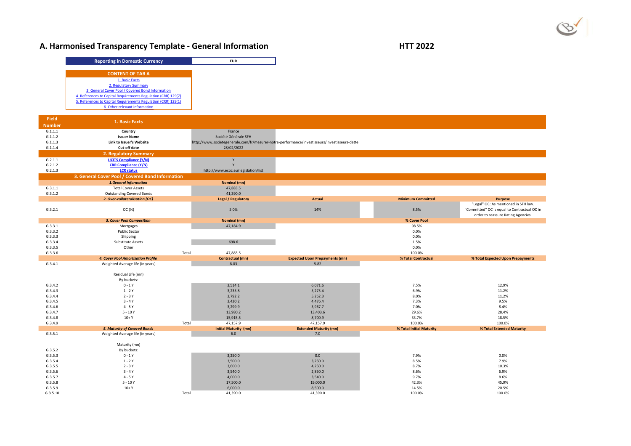# A. Harmonised Transparency Template - General Information **HTT 2022**

| <b>Reporting in Domestic Currency</b>                         |
|---------------------------------------------------------------|
| <b>CONTENT OF TAB A</b>                                       |
| 1. Basic Facts                                                |
| 2. Regulatory Summary                                         |
| 3. General Cover Pool / Covered Bond Information              |
| 4. References to Capital Requirements Regulation (CRR) 129(7) |
| 5. References to Capital Requirements Regulation (CRR) 129(1) |
| 6. Other relevant information                                 |

| <b>Field</b>        | <b>1. Basic Facts</b>                            |                                                                                               |                                       |                          |                                              |
|---------------------|--------------------------------------------------|-----------------------------------------------------------------------------------------------|---------------------------------------|--------------------------|----------------------------------------------|
| <b>Number</b>       |                                                  |                                                                                               |                                       |                          |                                              |
| G.1.1.1             | Country                                          | France                                                                                        |                                       |                          |                                              |
| G.1.1.2             | <b>Issuer Name</b>                               | Société Générale SFH                                                                          |                                       |                          |                                              |
| G.1.1.3             | Link to Issuer's Website                         | http://www.societegenerale.com/fr/mesurer-notre-performance/investisseurs/investisseurs-dette |                                       |                          |                                              |
| G.1.1.4             | <b>Cut-off date</b>                              | 28/02/2022                                                                                    |                                       |                          |                                              |
|                     | <b>2. Regulatory Summary</b>                     |                                                                                               |                                       |                          |                                              |
| G.2.1.1             | <b>UCITS Compliance (Y/N)</b>                    |                                                                                               |                                       |                          |                                              |
| G.2.1.2             | <b>CRR Compliance (Y/N)</b>                      |                                                                                               |                                       |                          |                                              |
| G.2.1.3             | <b>LCR status</b>                                | http://www.ecbc.eu/legislation/list                                                           |                                       |                          |                                              |
|                     | 3. General Cover Pool / Covered Bond Information |                                                                                               |                                       |                          |                                              |
|                     | <b>1.General Information</b>                     | <b>Nominal (mn)</b>                                                                           |                                       |                          |                                              |
| G.3.1.1             | <b>Total Cover Assets</b>                        | 47,883.5                                                                                      |                                       |                          |                                              |
| G.3.1.2             | <b>Outstanding Covered Bonds</b>                 | 41,390.0                                                                                      |                                       |                          |                                              |
|                     | 2. Over-collateralisation (OC)                   | <b>Legal / Regulatory</b>                                                                     | <b>Actual</b>                         | <b>Minimum Committed</b> | <b>Purpose</b>                               |
|                     |                                                  |                                                                                               |                                       |                          | "Legal" OC: As mentioned in SFH law.         |
| G.3.2.1             | OC (%)                                           | 5.0%                                                                                          | 14%                                   | 8.5%                     | "Committed" OC is equal to Contractual OC in |
|                     |                                                  |                                                                                               |                                       |                          | order to reassure Rating Agencies.           |
|                     | <b>3. Cover Pool Composition</b>                 | <b>Nominal (mn)</b>                                                                           |                                       | % Cover Pool             |                                              |
| G.3.3.1             | Mortgages                                        | 47,184.9                                                                                      |                                       | 98.5%                    |                                              |
| G.3.3.2             | <b>Public Sector</b>                             |                                                                                               |                                       | 0.0%                     |                                              |
| G.3.3.3             | Shipping                                         |                                                                                               |                                       | 0.0%                     |                                              |
| G.3.3.4             | <b>Substitute Assets</b>                         | 698.6                                                                                         |                                       | 1.5%                     |                                              |
| G.3.3.5             | Other                                            |                                                                                               |                                       | 0.0%                     |                                              |
| G.3.3.6             | Total                                            | 47,883.5                                                                                      |                                       | 100.0%                   |                                              |
|                     | 4. Cover Pool Amortisation Profile               | <b>Contractual (mn)</b>                                                                       | <b>Expected Upon Prepayments (mn)</b> | % Total Contractual      | % Total Expected Upon Prepayments            |
|                     |                                                  |                                                                                               |                                       |                          |                                              |
| G.3.4.1             | Weighted Average life (in years)                 | 8.03                                                                                          | 5.82                                  |                          |                                              |
|                     |                                                  |                                                                                               |                                       |                          |                                              |
|                     | Residual Life (mn)                               |                                                                                               |                                       |                          |                                              |
|                     | By buckets:                                      |                                                                                               |                                       |                          |                                              |
| G.3.4.2             | $0 - 1Y$                                         | 3,514.1                                                                                       | 6,071.6                               | 7.5%                     | 12.9%                                        |
| G.3.4.3             | $1 - 2Y$                                         | 3,235.8                                                                                       | 5,275.4                               | 6.9%                     | 11.2%                                        |
| G.3.4.4             | $2 - 3Y$<br>$3 - 4Y$                             | 3,792.2                                                                                       | 5,262.3                               | 8.0%                     | 11.2%                                        |
| G.3.4.5<br>G.3.4.6  | $4 - 5Y$                                         | 3,420.2<br>3,299.9                                                                            | 4,476.4<br>3,967.7                    | 7.3%<br>7.0%             | 9.5%<br>8.4%                                 |
| G.3.4.7             | $5 - 10Y$                                        | 13,980.2                                                                                      | 13,403.6                              | 29.6%                    | 28.4%                                        |
| G.3.4.8             | $10+Y$                                           | 15,915.5                                                                                      | 8,700.9                               | 33.7%                    | 18.5%                                        |
| G.3.4.9             | Total                                            | 47,157.9                                                                                      | 47,157.9                              | 100.0%                   | 100.0%                                       |
|                     | <b>5. Maturity of Covered Bonds</b>              | <b>Initial Maturity (mn)</b>                                                                  | <b>Extended Maturity (mn)</b>         | % Total Initial Maturity | % Total Extended Maturity                    |
| G.3.5.1             | Weighted Average life (in years)                 | 6.0                                                                                           | 7.0                                   |                          |                                              |
|                     |                                                  |                                                                                               |                                       |                          |                                              |
|                     | Maturity (mn)                                    |                                                                                               |                                       |                          |                                              |
| G.3.5.2             | By buckets:                                      |                                                                                               |                                       |                          |                                              |
| G.3.5.3             | $0 - 1Y$                                         | 3,250.0                                                                                       | 0.0                                   | 7.9%                     | 0.0%                                         |
| G.3.5.4             | $1 - 2Y$                                         | 3,500.0                                                                                       | 3,250.0                               | 8.5%                     | 7.9%                                         |
| G.3.5.5             | $2 - 3Y$                                         | 3,600.0                                                                                       | 4,250.0                               | 8.7%                     | 10.3%                                        |
| G.3.5.6             | $3 - 4Y$                                         | 3,540.0                                                                                       | 2,850.0                               | 8.6%                     | 6.9%                                         |
| G.3.5.7             | $4 - 5Y$                                         | 4,000.0                                                                                       | 3,540.0                               | 9.7%                     | 8.6%                                         |
| G.3.5.8             | $5 - 10Y$                                        | 17,500.0                                                                                      | 19,000.0                              | 42.3%                    | 45.9%                                        |
| G.3.5.9<br>G.3.5.10 | $10+Y$<br>Total                                  | 6,000.0<br>41,390.0                                                                           | 8,500.0<br>41,390.0                   | 14.5%<br>100.0%          | 20.5%<br>100.0%                              |

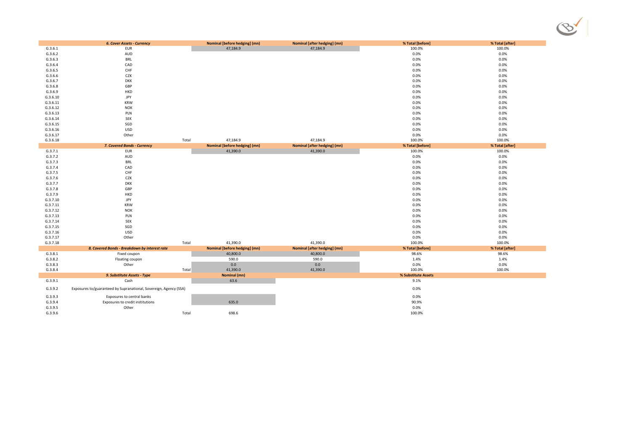|          | <b>6. Cover Assets - Currency</b>                                 |       | <b>Nominal [before hedging] (mn)</b> | <b>Nominal [after hedging] (mn)</b> | % Total [before]    | % Total [after] |
|----------|-------------------------------------------------------------------|-------|--------------------------------------|-------------------------------------|---------------------|-----------------|
| G.3.6.1  | <b>EUR</b>                                                        |       | 47,184.9                             | 47,184.9                            | 100.0%              | 100.0%          |
| G.3.6.2  | AUD                                                               |       |                                      |                                     | 0.0%                | 0.0%            |
| G.3.6.3  | <b>BRL</b>                                                        |       |                                      |                                     | 0.0%                | 0.0%            |
| G.3.6.4  | CAD                                                               |       |                                      |                                     | 0.0%                | 0.0%            |
| G.3.6.5  | CHF                                                               |       |                                      |                                     | 0.0%                | 0.0%            |
| G.3.6.6  | CZK                                                               |       |                                      |                                     | 0.0%                | 0.0%            |
| G.3.6.7  | <b>DKK</b>                                                        |       |                                      |                                     | 0.0%                | 0.0%            |
| G.3.6.8  | GBP                                                               |       |                                      |                                     | 0.0%                | 0.0%            |
| G.3.6.9  | <b>HKD</b>                                                        |       |                                      |                                     | 0.0%                | 0.0%            |
| G.3.6.10 | <b>JPY</b>                                                        |       |                                      |                                     | 0.0%                | 0.0%            |
| G.3.6.11 | <b>KRW</b>                                                        |       |                                      |                                     | 0.0%                | 0.0%            |
| G.3.6.12 | <b>NOK</b>                                                        |       |                                      |                                     | 0.0%                | 0.0%            |
| G.3.6.13 | PLN                                                               |       |                                      |                                     | 0.0%                | 0.0%            |
| G.3.6.14 | SEK                                                               |       |                                      |                                     | 0.0%                | 0.0%            |
| G.3.6.15 | SGD                                                               |       |                                      |                                     | 0.0%                | 0.0%            |
| G.3.6.16 | <b>USD</b>                                                        |       |                                      |                                     | 0.0%                | 0.0%            |
| G.3.6.17 | Other                                                             |       |                                      |                                     | 0.0%                | 0.0%            |
| G.3.6.18 |                                                                   | Total | 47,184.9                             | 47,184.9                            | 100.0%              | 100.0%          |
|          | 7. Covered Bonds - Currency                                       |       | <b>Nominal [before hedging] (mn)</b> | <b>Nominal [after hedging] (mn)</b> | % Total [before]    | % Total [after] |
| G.3.7.1  | <b>EUR</b>                                                        |       | 41,390.0                             | 41,390.0                            | 100.0%              | 100.0%          |
| G.3.7.2  | AUD                                                               |       |                                      |                                     | 0.0%                | 0.0%            |
| G.3.7.3  | <b>BRL</b>                                                        |       |                                      |                                     | 0.0%                | 0.0%            |
| G.3.7.4  | CAD                                                               |       |                                      |                                     | 0.0%                | 0.0%            |
| G.3.7.5  | CHF                                                               |       |                                      |                                     | 0.0%                | 0.0%            |
| G.3.7.6  | CZK                                                               |       |                                      |                                     | 0.0%                | 0.0%            |
| G.3.7.7  | <b>DKK</b>                                                        |       |                                      |                                     | 0.0%                | 0.0%            |
| G.3.7.8  | GBP                                                               |       |                                      |                                     | 0.0%                | 0.0%            |
| G.3.7.9  | <b>HKD</b>                                                        |       |                                      |                                     | 0.0%                | 0.0%            |
| G.3.7.10 | <b>JPY</b>                                                        |       |                                      |                                     | 0.0%                | 0.0%            |
| G.3.7.11 | KRW                                                               |       |                                      |                                     | 0.0%                | 0.0%            |
| G.3.7.12 | <b>NOK</b>                                                        |       |                                      |                                     | 0.0%                | 0.0%            |
| G.3.7.13 | PLN                                                               |       |                                      |                                     | 0.0%                | 0.0%            |
| G.3.7.14 | <b>SEK</b>                                                        |       |                                      |                                     | 0.0%                | 0.0%            |
| G.3.7.15 | SGD                                                               |       |                                      |                                     | 0.0%                | 0.0%            |
| G.3.7.16 | <b>USD</b>                                                        |       |                                      |                                     | 0.0%                | 0.0%            |
| G.3.7.17 | Other                                                             |       |                                      |                                     | 0.0%                | 0.0%            |
| G.3.7.18 |                                                                   | Total | 41,390.0                             | 41,390.0                            | 100.0%              | 100.0%          |
|          | 8. Covered Bonds - Breakdown by interest rate                     |       | <b>Nominal [before hedging] (mn)</b> | <b>Nominal [after hedging] (mn)</b> | % Total [before]    | % Total [after] |
| G.3.8.1  | Fixed coupon                                                      |       | 40,800.0                             | 40,800.0                            | 98.6%               | 98.6%           |
| G.3.8.2  | Floating coupon                                                   |       | 590.0                                | 590.0                               | 1.4%                | 1.4%            |
| G.3.8.3  | Other                                                             |       | 0.0                                  | 0.0                                 | 0.0%                | 0.0%            |
| G.3.8.4  |                                                                   | Total | 41,390.0                             | 41,390.0                            | 100.0%              | 100.0%          |
|          | 9. Substitute Assets - Type                                       |       | <b>Nominal (mn)</b>                  |                                     | % Substitute Assets |                 |
| G.3.9.1  | Cash                                                              |       | 63.6                                 |                                     | 9.1%                |                 |
|          |                                                                   |       |                                      |                                     |                     |                 |
| G.3.9.2  | Exposures to/guaranteed by Supranational, Sovereign, Agency (SSA) |       |                                      |                                     | 0.0%                |                 |
| G.3.9.3  | Exposures to central banks                                        |       |                                      |                                     | 0.0%                |                 |
| G.3.9.4  | Exposures to credit institutions                                  |       | 635.0                                |                                     | 90.9%               |                 |
| G.3.9.5  | Other                                                             |       |                                      |                                     | 0.0%                |                 |
| G.3.9.6  |                                                                   | Total | 698.6                                |                                     | 100.0%              |                 |

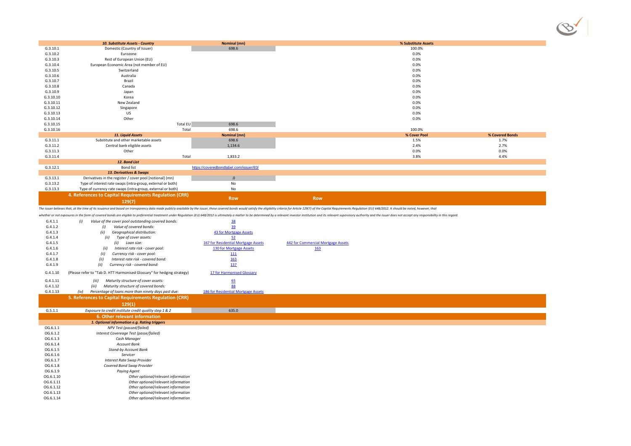|           | 10. Substitute Assets - Country                                         | <b>Nominal (mn)</b>                     | % Substitute Assets                                                                                                                                                                                                            |                 |
|-----------|-------------------------------------------------------------------------|-----------------------------------------|--------------------------------------------------------------------------------------------------------------------------------------------------------------------------------------------------------------------------------|-----------------|
| G.3.10.1  | Domestic (Country of Issuer)                                            | 698.6                                   | 100.0%                                                                                                                                                                                                                         |                 |
| G.3.10.2  | Eurozone                                                                |                                         | $0.0\%$                                                                                                                                                                                                                        |                 |
| G.3.10.3  | Rest of European Union (EU)                                             |                                         | $0.0\%$                                                                                                                                                                                                                        |                 |
| G.3.10.4  | European Economic Area (not member of EU)                               |                                         | $0.0\%$                                                                                                                                                                                                                        |                 |
| G.3.10.5  | Switzerland                                                             |                                         | $0.0\%$                                                                                                                                                                                                                        |                 |
| G.3.10.6  | Australia                                                               |                                         | 0.0%                                                                                                                                                                                                                           |                 |
| G.3.10.7  | Brazil                                                                  |                                         | $0.0\%$                                                                                                                                                                                                                        |                 |
| G.3.10.8  | Canada                                                                  |                                         | 0.0%                                                                                                                                                                                                                           |                 |
| G.3.10.9  | Japan                                                                   |                                         | $0.0\%$                                                                                                                                                                                                                        |                 |
| G.3.10.10 | Korea                                                                   |                                         | 0.0%                                                                                                                                                                                                                           |                 |
| G.3.10.11 | New Zealand                                                             |                                         | $0.0\%$                                                                                                                                                                                                                        |                 |
| G.3.10.12 | Singapore                                                               |                                         | $0.0\%$                                                                                                                                                                                                                        |                 |
| G.3.10.13 | US                                                                      |                                         | $0.0\%$                                                                                                                                                                                                                        |                 |
| G.3.10.14 | Other                                                                   |                                         | $0.0\%$                                                                                                                                                                                                                        |                 |
| G.3.10.15 | Total EU                                                                | 698.6                                   |                                                                                                                                                                                                                                |                 |
| G.3.10.16 | Total                                                                   | 698.6                                   | 100.0%                                                                                                                                                                                                                         |                 |
|           | 11. Liquid Assets                                                       | <b>Nominal (mn)</b>                     | % Cover Pool                                                                                                                                                                                                                   | % Covered Bonds |
| G.3.11.1  | Substitute and other marketable assets                                  | 698.6                                   | 1.5%                                                                                                                                                                                                                           | 1.7%            |
| G.3.11.2  | Central bank eligible assets                                            | 1,134.6                                 | 2.4%                                                                                                                                                                                                                           | 2.7%            |
| G.3.11.3  | Other                                                                   |                                         | $0.0\%$                                                                                                                                                                                                                        | 0.0%            |
| G.3.11.4  | Total                                                                   | 1,833.2                                 | 3.8%                                                                                                                                                                                                                           | 4.4%            |
|           | 12. Bond List                                                           |                                         |                                                                                                                                                                                                                                |                 |
| G.3.12.1  | <b>Bond list</b>                                                        | https://coveredbondlabel.com/issuer/83/ |                                                                                                                                                                                                                                |                 |
|           | 13. Derivatives & Swaps                                                 |                                         |                                                                                                                                                                                                                                |                 |
| G.3.13.1  | Derivatives in the register / cover pool [notional] (mn)                | .0                                      |                                                                                                                                                                                                                                |                 |
| G.3.13.2  | Type of interest rate swaps (intra-group, external or both)             | No                                      |                                                                                                                                                                                                                                |                 |
| G.3.13.3  | Type of currency rate swaps (intra-group, external or both)             | $\operatorname{\mathsf{No}}$            |                                                                                                                                                                                                                                |                 |
|           | 4. References to Capital Requirements Regulation (CRR)                  |                                         |                                                                                                                                                                                                                                |                 |
|           | 129(7)                                                                  | <b>Row</b>                              | <b>Row</b>                                                                                                                                                                                                                     |                 |
|           |                                                                         |                                         |                                                                                                                                                                                                                                |                 |
|           |                                                                         |                                         | The issuer believes that, at the time of its issuance and based on transparency data made publicly available by the issuer, these covered bonds would satisfy the eligibility criteria for Article 129(7) of the Capital Requi |                 |
|           |                                                                         |                                         | whether or not exposures in the form of covered bonds are eligible to preferential treatment under Regulation (EU) 648/2012 is ultimately a matter to be determined by a relevant investor institution and its relevant superv |                 |
| G.4.1.1   | (i)<br>Value of the cover pool outstanding covered bonds:               | $\frac{38}{1}$                          |                                                                                                                                                                                                                                |                 |
| G.4.1.2   | Value of covered bonds:                                                 | 39                                      |                                                                                                                                                                                                                                |                 |
| G.4.1.3   | Geographical distribution:<br>(ii)                                      | 43 for Mortgage Assets                  |                                                                                                                                                                                                                                |                 |
| G.4.1.4   | Type of cover assets:<br>(ii)                                           | 52                                      |                                                                                                                                                                                                                                |                 |
| G.4.1.5   | (ii)<br>Loan size:                                                      | 167 for Residential Mortgage Assets     | 442 for Commercial Mortgage Assets                                                                                                                                                                                             |                 |
| G.4.1.6   | Interest rate risk - cover pool:<br>(ii)                                | 130 for Mortgage Assets                 | <u>163</u>                                                                                                                                                                                                                     |                 |
| G.4.1.7   | Currency risk - cover pool:<br>(ii)                                     | 111                                     |                                                                                                                                                                                                                                |                 |
| G.4.1.8   | Interest rate risk - covered bond:<br>(ii)                              | <u>163</u>                              |                                                                                                                                                                                                                                |                 |
| G.4.1.9   | Currency risk - covered bond:<br>(ii)                                   | 137                                     |                                                                                                                                                                                                                                |                 |
|           |                                                                         |                                         |                                                                                                                                                                                                                                |                 |
| G.4.1.10  | (Please refer to "Tab D. HTT Harmonised Glossary" for hedging strategy) | 17 for Harmonised Glossary              |                                                                                                                                                                                                                                |                 |
| G.4.1.11  | Maturity structure of cover assets:<br>(iii)                            | $\underline{65}$                        |                                                                                                                                                                                                                                |                 |
| G.4.1.12  | Maturity structure of covered bonds:<br>(iii)                           | 88                                      |                                                                                                                                                                                                                                |                 |
| G.4.1.13  | Percentage of loans more than ninety days past due:<br>(iv)             | 186 for Residential Mortgage Assets     |                                                                                                                                                                                                                                |                 |
|           | 5. References to Capital Requirements Regulation (CRR)                  |                                         |                                                                                                                                                                                                                                |                 |
|           |                                                                         |                                         |                                                                                                                                                                                                                                |                 |
|           | 129(1)                                                                  |                                         |                                                                                                                                                                                                                                |                 |
| G.5.1.1   | Exposure to credit institute credit quality step 1 & 2                  | 635.0                                   |                                                                                                                                                                                                                                |                 |
|           | 6. Other relevant information                                           |                                         |                                                                                                                                                                                                                                |                 |
|           | 1. Optional information e.g. Rating triggers                            |                                         |                                                                                                                                                                                                                                |                 |
| OG.6.1.1  | NPV Test (passed/failed)                                                |                                         |                                                                                                                                                                                                                                |                 |
| OG.6.1.2  | Interest Covereage Test (passe/failed)                                  |                                         |                                                                                                                                                                                                                                |                 |
| OG.6.1.3  | Cash Manager                                                            |                                         |                                                                                                                                                                                                                                |                 |
| OG.6.1.4  | <b>Account Bank</b>                                                     |                                         |                                                                                                                                                                                                                                |                 |
| OG.6.1.5  | <b>Stand-by Account Bank</b>                                            |                                         |                                                                                                                                                                                                                                |                 |
| OG.6.1.6  | Servicer                                                                |                                         |                                                                                                                                                                                                                                |                 |
| OG.6.1.7  | Interest Rate Swap Provider                                             |                                         |                                                                                                                                                                                                                                |                 |
| OG.6.1.8  | Covered Bond Swap Provider                                              |                                         |                                                                                                                                                                                                                                |                 |
| OG.6.1.9  | <b>Paying Agent</b>                                                     |                                         |                                                                                                                                                                                                                                |                 |
| OG.6.1.10 | Other optional/relevant information                                     |                                         |                                                                                                                                                                                                                                |                 |
| OG.6.1.11 | Other optional/relevant information                                     |                                         |                                                                                                                                                                                                                                |                 |
| OG.6.1.12 | Other optional/relevant information                                     |                                         |                                                                                                                                                                                                                                |                 |
| OG.6.1.13 | Other optional/relevant information                                     |                                         |                                                                                                                                                                                                                                |                 |
| OG.6.1.14 | Other optional/relevant information                                     |                                         |                                                                                                                                                                                                                                |                 |

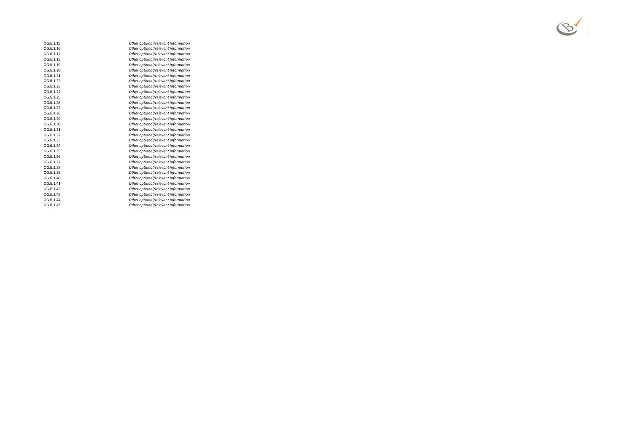| OG.6.1.15 | Other optional/relevant information |
|-----------|-------------------------------------|
| OG.6.1.16 | Other optional/relevant information |
| OG.6.1.17 | Other optional/relevant information |
| OG.6.1.18 | Other optional/relevant information |
| OG.6.1.19 | Other optional/relevant information |
| OG.6.1.20 | Other optional/relevant information |
| OG.6.1.21 | Other optional/relevant information |
| OG.6.1.22 | Other optional/relevant information |
| OG.6.1.23 | Other optional/relevant information |
| OG.6.1.24 | Other optional/relevant information |
| OG.6.1.25 | Other optional/relevant information |
| OG.6.1.26 | Other optional/relevant information |
| OG.6.1.27 | Other optional/relevant information |
| OG.6.1.28 | Other optional/relevant information |
| OG.6.1.29 | Other optional/relevant information |
| OG.6.1.30 | Other optional/relevant information |
| OG.6.1.31 | Other optional/relevant information |
| OG.6.1.32 | Other optional/relevant information |
| OG.6.1.33 | Other optional/relevant information |
| OG.6.1.34 | Other optional/relevant information |
| OG.6.1.35 | Other optional/relevant information |
| OG.6.1.36 | Other optional/relevant information |
| OG.6.1.37 | Other optional/relevant information |
| OG.6.1.38 | Other optional/relevant information |
| OG.6.1.39 | Other optional/relevant information |
| OG.6.1.40 | Other optional/relevant information |
| OG.6.1.41 | Other optional/relevant information |
| OG.6.1.42 | Other optional/relevant information |
| OG.6.1.43 | Other optional/relevant information |
| OG.6.1.44 | Other optional/relevant information |
| OG.6.1.45 | Other optional/relevant information |
|           |                                     |

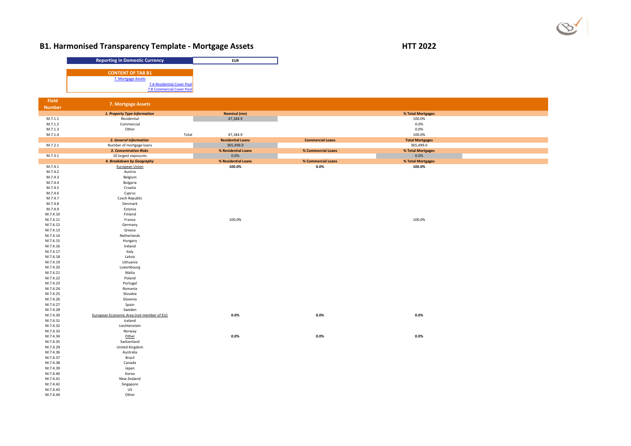# **B1. Harmonised Transparency Template - Mortgage Assets HTT 2022**

|                      | <b>Reporting in Domestic Currency</b>                                 | <b>EUR</b>                    |
|----------------------|-----------------------------------------------------------------------|-------------------------------|
|                      |                                                                       |                               |
|                      | <b>CONTENT OF TAB B1</b>                                              |                               |
|                      | 7. Mortgage Assets                                                    |                               |
|                      | <b>7.A Residential Cover Pool</b><br><b>7.B Commercial Cover Pool</b> |                               |
|                      |                                                                       |                               |
| <b>Field</b>         |                                                                       |                               |
| <b>Number</b>        | 7. Mortgage Assets                                                    |                               |
|                      | 1. Property Type Information                                          | <b>Nominal (mn)</b>           |
| M.7.1.1              | Residential                                                           | 47,184.9                      |
| M.7.1.2              | Commercial                                                            |                               |
| M.7.1.3              | Other                                                                 |                               |
| M.7.1.4              |                                                                       | Total<br>47,184.9             |
|                      | 2. General Information                                                | <b>Residential Loans</b>      |
| M.7.2.1              | Number of mortgage loans                                              | 365,499.0                     |
|                      | <b>3. Concentration Risks</b>                                         | % Residential Loans           |
| M.7.3.1              | 10 largest exposures                                                  | 0.0%                          |
| M.7.4.1              | 4. Breakdown by Geography<br><b>European Union</b>                    | % Residential Loans<br>100.0% |
| M.7.4.2              | Austria                                                               |                               |
| M.7.4.3              | Belgium                                                               |                               |
| M.7.4.4              | Bulgaria                                                              |                               |
| M.7.4.5              | Croatia                                                               |                               |
| M.7.4.6              | Cyprus                                                                |                               |
| M.7.4.7              | Czech Republic                                                        |                               |
| M.7.4.8              | Denmark                                                               |                               |
| M.7.4.9              | Estonia                                                               |                               |
| M.7.4.10             | Finland                                                               |                               |
| M.7.4.11             | France                                                                | 100.0%                        |
| M.7.4.12             | Germany                                                               |                               |
| M.7.4.13             | Greece                                                                |                               |
| M.7.4.14             | Netherlands                                                           |                               |
| M.7.4.15<br>M.7.4.16 | Hungary<br>Ireland                                                    |                               |
| M.7.4.17             | Italy                                                                 |                               |
| M.7.4.18             | Latvia                                                                |                               |
| M.7.4.19             | Lithuania                                                             |                               |
| M.7.4.20             | Luxembourg                                                            |                               |
| M.7.4.21             | Malta                                                                 |                               |
| M.7.4.22             | Poland                                                                |                               |
| M.7.4.23             | Portugal                                                              |                               |
| M.7.4.24             | Romania                                                               |                               |
| M.7.4.25             | Slovakia                                                              |                               |
| M.7.4.26             | Slovenia                                                              |                               |
| M.7.4.27             | Spain                                                                 |                               |
| M.7.4.28             | Sweden                                                                |                               |
| M.7.4.30<br>M.7.4.31 | European Economic Area (not member of EU)<br>Iceland                  | 0.0%                          |
| M.7.4.32             | Liechtenstein                                                         |                               |
| M.7.4.33             | Norway                                                                |                               |
| M.7.4.34             | Other                                                                 | 0.0%                          |
| M.7.4.35             | Switzerland                                                           |                               |
| M.7.4.29             | United Kingdom                                                        |                               |
| M.7.4.36             | Australia                                                             |                               |
| M.7.4.37             | Brazil                                                                |                               |
| M.7.4.38             | Canada                                                                |                               |
| M.7.4.39             | Japan                                                                 |                               |
| M.7.4.40             | Korea                                                                 |                               |
| M.7.4.41             | New Zealand                                                           |                               |
| M.7.4.42             | Singapore                                                             |                               |
| M.7.4.43             | <b>US</b>                                                             |                               |
| M.7.4.44             | Other                                                                 |                               |

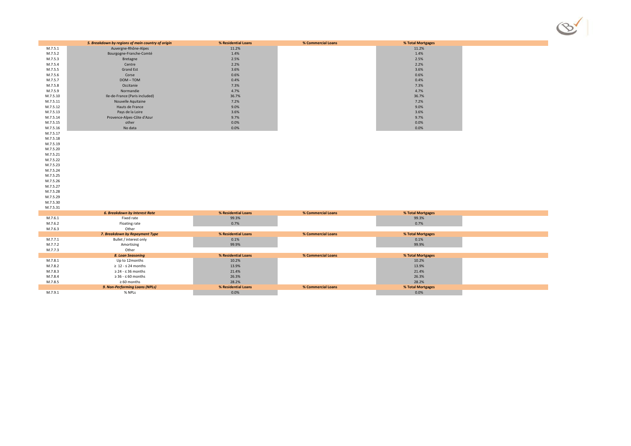|          | 5. Breakdown by regions of main country of origin | % Residential Loans | % Commercial Loans | % Total Mortgages |  |
|----------|---------------------------------------------------|---------------------|--------------------|-------------------|--|
| M.7.5.1  | Auvergne-Rhône-Alpes                              | 11.2%               |                    | 11.2%             |  |
| M.7.5.2  | Bourgogne-Franche-Comté                           | 1.4%                |                    | 1.4%              |  |
| M.7.5.3  | Bretagne                                          | 2.5%                |                    | 2.5%              |  |
| M.7.5.4  | Centre                                            | 2.2%                |                    | 2.2%              |  |
| M.7.5.5  | <b>Grand Est</b>                                  | 3.6%                |                    | 3.6%              |  |
| M.7.5.6  | Corse                                             | 0.6%                |                    | 0.6%              |  |
| M.7.5.7  | DOM-TOM                                           | 0.4%                |                    | 0.4%              |  |
| M.7.5.8  | Occitanie                                         | 7.3%                |                    | 7.3%              |  |
| M.7.5.9  | Normandie                                         | 4.7%                |                    | 4.7%              |  |
| M.7.5.10 | Ile-de-France (Paris included)                    | 36.7%               |                    | 36.7%             |  |
| M.7.5.11 | Nouvelle Aquitaine                                | 7.2%                |                    | 7.2%              |  |
| M.7.5.12 | Hauts de France                                   | 9.0%                |                    | 9.0%              |  |
| M.7.5.13 | Pays de la Loire                                  | 3.6%                |                    | 3.6%              |  |
| M.7.5.14 | Provence-Alpes-Côte d'Azur                        | 9.7%                |                    | 9.7%              |  |
| M.7.5.15 | other                                             | 0.0%                |                    | 0.0%              |  |
| M.7.5.16 | No data                                           | 0.0%                |                    | 0.0%              |  |
| M.7.5.17 |                                                   |                     |                    |                   |  |
| M.7.5.18 |                                                   |                     |                    |                   |  |
| M.7.5.19 |                                                   |                     |                    |                   |  |
| M.7.5.20 |                                                   |                     |                    |                   |  |
| M.7.5.21 |                                                   |                     |                    |                   |  |
| M.7.5.22 |                                                   |                     |                    |                   |  |
| M.7.5.23 |                                                   |                     |                    |                   |  |
| M.7.5.24 |                                                   |                     |                    |                   |  |
| M.7.5.25 |                                                   |                     |                    |                   |  |
| M.7.5.26 |                                                   |                     |                    |                   |  |
| M.7.5.27 |                                                   |                     |                    |                   |  |
| M.7.5.28 |                                                   |                     |                    |                   |  |
| M.7.5.29 |                                                   |                     |                    |                   |  |
| M.7.5.30 |                                                   |                     |                    |                   |  |
| M.7.5.31 |                                                   |                     |                    |                   |  |
|          | <b>6. Breakdown by Interest Rate</b>              | % Residential Loans | % Commercial Loans | % Total Mortgages |  |
| M.7.6.1  | Fixed rate                                        | 99.3%               |                    | 99.3%             |  |
| M.7.6.2  | Floating rate                                     | 0.7%                |                    | 0.7%              |  |
| M.7.6.3  | Other                                             |                     |                    |                   |  |
|          | 7. Breakdown by Repayment Type                    | % Residential Loans | % Commercial Loans | % Total Mortgages |  |
| M.7.7.1  | Bullet / interest only                            | 0.1%                |                    | 0.1%              |  |
| M.7.7.2  | Amortising                                        | 99.9%               |                    | 99.9%             |  |
| M.7.7.3  | Other                                             |                     |                    |                   |  |
|          | 8. Loan Seasoning                                 | % Residential Loans | % Commercial Loans | % Total Mortgages |  |
| M.7.8.1  | Up to 12months                                    | 10.2%               |                    | 10.2%             |  |
| M.7.8.2  | $\geq 12 - 524$ months                            | 13.9%               |                    | 13.9%             |  |
| M.7.8.3  | $\geq$ 24 - $\leq$ 36 months                      | 21.4%               |                    | 21.4%             |  |
| M.7.8.4  | $\geq$ 36 - $\leq$ 60 months                      | 26.3%               |                    | 26.3%             |  |
| M.7.8.5  | $\geq 60$ months                                  | 28.2%               |                    | 28.2%             |  |
|          | 9. Non-Performing Loans (NPLs)                    | % Residential Loans | % Commercial Loans | % Total Mortgages |  |
| M.7.9.1  | % NPLs                                            | 0.0%                |                    | 0.0%              |  |
|          |                                                   |                     |                    |                   |  |

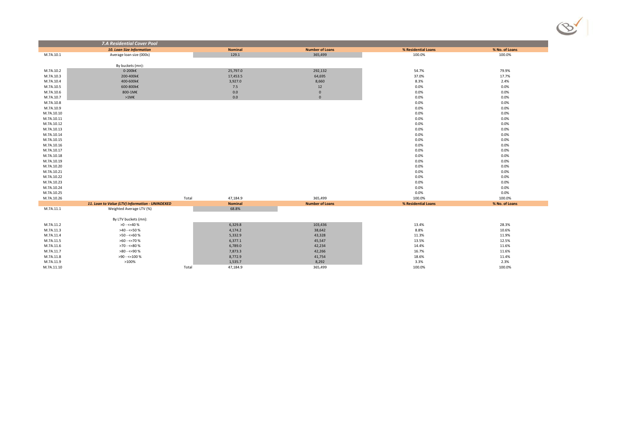|            | <b>7.A Residential Cover Pool</b>               |                   |                        |                     |                |
|------------|-------------------------------------------------|-------------------|------------------------|---------------------|----------------|
|            | <b>10. Loan Size Information</b>                | <b>Nominal</b>    | <b>Number of Loans</b> | % Residential Loans | % No. of Loans |
| M.7A.10.1  | Average loan size (000s)                        | 129.1             | 365,499                | 100.0%              | 100.0%         |
|            |                                                 |                   |                        |                     |                |
|            | By buckets (mn):                                |                   |                        |                     |                |
| M.7A.10.2  | $0-200k\epsilon$                                | 25,797.0          | 292,132                | 54.7%               | 79.9%          |
| M.7A.10.3  | 200-400k€                                       | 17,453.5          | 64,695                 | 37.0%               | 17.7%          |
| M.7A.10.4  | 400-600k€                                       | 3,927.0           | 8,660                  | 8.3%                | 2.4%           |
| M.7A.10.5  | 600-800k€                                       | 7.5               | 12                     | 0.0%                | 0.0%           |
| M.7A.10.6  | 800-1M€                                         | 0.0               | $\overline{0}$         | 0.0%                | $0.0\%$        |
| M.7A.10.7  | $>1M\epsilon$                                   | 0.0               | $\overline{0}$         | 0.0%                | 0.0%           |
| M.7A.10.8  |                                                 |                   |                        | 0.0%                | 0.0%           |
| M.7A.10.9  |                                                 |                   |                        | 0.0%                | 0.0%           |
| M.7A.10.10 |                                                 |                   |                        | 0.0%                | 0.0%           |
| M.7A.10.11 |                                                 |                   |                        | 0.0%                | 0.0%           |
| M.7A.10.12 |                                                 |                   |                        | 0.0%                | 0.0%           |
| M.7A.10.13 |                                                 |                   |                        | 0.0%                | $0.0\%$        |
| M.7A.10.14 |                                                 |                   |                        | 0.0%                | 0.0%           |
| M.7A.10.15 |                                                 |                   |                        | 0.0%                | 0.0%           |
| M.7A.10.16 |                                                 |                   |                        | 0.0%                | 0.0%           |
| M.7A.10.17 |                                                 |                   |                        | 0.0%                | 0.0%           |
| M.7A.10.18 |                                                 |                   |                        | 0.0%                | 0.0%           |
| M.7A.10.19 |                                                 |                   |                        | 0.0%                | 0.0%           |
| M.7A.10.20 |                                                 |                   |                        | 0.0%                | 0.0%           |
| M.7A.10.21 |                                                 |                   |                        | 0.0%                | 0.0%           |
| M.7A.10.22 |                                                 |                   |                        | 0.0%                | 0.0%           |
| M.7A.10.23 |                                                 |                   |                        | 0.0%                | $0.0\%$        |
| M.7A.10.24 |                                                 |                   |                        | 0.0%                | 0.0%           |
| M.7A.10.25 |                                                 |                   |                        | 0.0%                | 0.0%           |
| M.7A.10.26 |                                                 | Total<br>47,184.9 | 365,499                | 100.0%              | 100.0%         |
|            | 11. Loan to Value (LTV) Information - UNINDEXED | <b>Nominal</b>    | <b>Number of Loans</b> | % Residential Loans | % No. of Loans |
| M.7A.11.1  | Weighted Average LTV (%)                        | 68.8%             |                        |                     |                |
|            | By LTV buckets (mn):                            |                   |                        |                     |                |
| M.7A.11.2  | >0 - <=40 %                                     | 6,329.8           | 103,436                | 13.4%               | 28.3%          |
| M.7A.11.3  | >40 - <=50 %                                    | 4,174.2           | 38,642                 | 8.8%                | 10.6%          |
| M.7A.11.4  | $>50 - 50$ %                                    | 5,332.9           | 43,328                 | 11.3%               | 11.9%          |
| M.7A.11.5  | >60 - <=70 %                                    | 6,377.1           | 45,547                 | 13.5%               | 12.5%          |
| M.7A.11.6  | >70 - <=80 %                                    | 6,789.0           | 42,234                 | 14.4%               | 11.6%          |
| M.7A.11.7  | >80 - <=90 %                                    |                   |                        |                     | 11.6%          |
| M.7A.11.8  | >90 - <=100 %                                   | 7,873.3           | 42,266                 | 16.7%               | 11.4%          |
|            | >100%                                           | 8,772.9           | 41,754<br>8,292        | 18.6%<br>3.3%       | 2.3%           |
| M.7A.11.9  |                                                 | 1,535.7           |                        |                     |                |
| M.7A.11.10 |                                                 | Total<br>47,184.9 | 365,499                | 100.0%              | 100.0%         |

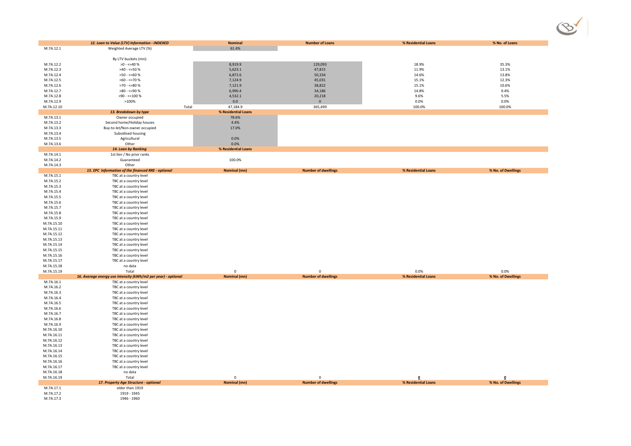|                          | 12. Loan to Value (LTV) Information - INDEXED                 | <b>Nominal</b>                  | <b>Number of Loans</b>     | % Residential Loans | % No. of Loans     |
|--------------------------|---------------------------------------------------------------|---------------------------------|----------------------------|---------------------|--------------------|
| M.7A.12.1                | Weighted Average LTV (%)                                      | 61.4%                           |                            |                     |                    |
|                          |                                                               |                                 |                            |                     |                    |
|                          | By LTV buckets (mn):                                          |                                 |                            |                     | 35.3%              |
| M.7A.12.2<br>M.7A.12.3   | $>0 - 540%$<br>$>40 - 50%$                                    | 8,919.9<br>5,623.1              | 129,093<br>47,815          | 18.9%<br>11.9%      | 13.1%              |
| M.7A.12.4                | >50 - <=60 %                                                  | 6,872.6                         | 50,334                     | 14.6%               | 13.8%              |
| M.7A.12.5                | $>60 - 50$                                                    | 7,124.9                         | 45,031                     | 15.1%               | 12.3%              |
| M.7A.12.6                | >70 - <=80 %                                                  | 7,121.9                         | 38,822                     | 15.1%               | 10.6%              |
| M.7A.12.7                | >80 - <=90 %                                                  | 6,990.4                         | 34,186                     | 14.8%               | 9.4%               |
| M.7A.12.8                | $>90 - 5100 %$                                                | 4,532.1                         | 20,218                     | 9.6%                | 5.5%               |
| M.7A.12.9                | >100%<br>Total                                                | 0.0                             | $\mathbf{0}$               | $0.0\%$             | 0.0%               |
| M.7A.12.10               | 13. Breakdown by type                                         | 47,184.9<br>% Residential Loans | 365,499                    | 100.0%              | 100.0%             |
| M.7A.13.1                | Owner occupied                                                | 78.6%                           |                            |                     |                    |
| M.7A.13.2                | Second home/Holiday houses                                    | 4.4%                            |                            |                     |                    |
| M.7A.13.3                | Buy-to-let/Non-owner occupied                                 | 17.0%                           |                            |                     |                    |
| M.7A.13.4                | Subsidised housing                                            |                                 |                            |                     |                    |
| M.7A.13.5                | Agricultural                                                  | $0.0\%$                         |                            |                     |                    |
| M.7A.13.6                | Other<br>14. Loan by Ranking                                  | 0.0%<br>% Residential Loans     |                            |                     |                    |
| M.7A.14.1                | 1st lien / No prior ranks                                     |                                 |                            |                     |                    |
| M.7A.14.2                | Guaranteed                                                    | 100.0%                          |                            |                     |                    |
| M.7A.14.3                | Other                                                         |                                 |                            |                     |                    |
|                          | 15. EPC Information of the financed RRE - optional            | <b>Nominal (mn)</b>             | <b>Number of dwellings</b> | % Residential Loans | % No. of Dwellings |
| M.7A.15.1                | TBC at a country level                                        |                                 |                            |                     |                    |
| M.7A.15.2<br>M.7A.15.3   | TBC at a country level<br>TBC at a country level              |                                 |                            |                     |                    |
| M.7A.15.4                | TBC at a country level                                        |                                 |                            |                     |                    |
| M.7A.15.5                | TBC at a country level                                        |                                 |                            |                     |                    |
| M.7A.15.6                | TBC at a country level                                        |                                 |                            |                     |                    |
| M.7A.15.7                | TBC at a country level                                        |                                 |                            |                     |                    |
| M.7A.15.8                | TBC at a country level                                        |                                 |                            |                     |                    |
| M.7A.15.9<br>M.7A.15.10  | TBC at a country level<br>TBC at a country level              |                                 |                            |                     |                    |
| M.7A.15.11               | TBC at a country level                                        |                                 |                            |                     |                    |
| M.7A.15.12               | TBC at a country level                                        |                                 |                            |                     |                    |
| M.7A.15.13               | TBC at a country level                                        |                                 |                            |                     |                    |
| M.7A.15.14               | TBC at a country level                                        |                                 |                            |                     |                    |
| M.7A.15.15               | TBC at a country level                                        |                                 |                            |                     |                    |
| M.7A.15.16<br>M.7A.15.17 | TBC at a country level                                        |                                 |                            |                     |                    |
| M.7A.15.18               | TBC at a country level<br>no data                             |                                 |                            |                     |                    |
| M.7A.15.19               | Total                                                         | $\mathbf 0$                     | 0                          | 0.0%                | 0.0%               |
|                          | 16. Average energy use intensity (kWh/m2 per year) - optional | <b>Nominal (mn)</b>             | <b>Number of dwellings</b> | % Residential Loans | % No. of Dwellings |
| M.7A.16.1                | TBC at a country level                                        |                                 |                            |                     |                    |
| M.7A.16.2                | TBC at a country level                                        |                                 |                            |                     |                    |
| M.7A.16.3                | TBC at a country level                                        |                                 |                            |                     |                    |
| M.7A.16.4<br>M.7A.16.5   | TBC at a country level<br>TBC at a country level              |                                 |                            |                     |                    |
| M.7A.16.6                | TBC at a country level                                        |                                 |                            |                     |                    |
| M.7A.16.7                | TBC at a country level                                        |                                 |                            |                     |                    |
| M.7A.16.8                | TBC at a country level                                        |                                 |                            |                     |                    |
| M.7A.16.9                | TBC at a country level                                        |                                 |                            |                     |                    |
| M.7A.16.10               | TBC at a country level                                        |                                 |                            |                     |                    |
| M.7A.16.11<br>M.7A.16.12 | TBC at a country level<br>TBC at a country level              |                                 |                            |                     |                    |
| M.7A.16.13               | TBC at a country level                                        |                                 |                            |                     |                    |
| M.7A.16.14               | TBC at a country level                                        |                                 |                            |                     |                    |
| M.7A.16.15               | TBC at a country level                                        |                                 |                            |                     |                    |
| M.7A.16.16               | TBC at a country level                                        |                                 |                            |                     |                    |
| M.7A.16.17               | TBC at a country level                                        |                                 |                            |                     |                    |
| M.7A.16.18<br>M.7A.16.19 | no data<br>Total                                              | $\Omega$                        |                            |                     |                    |
|                          | 17. Property Age Structure - optional                         | <b>Nominal (mn)</b>             | <b>Number of dwellings</b> | % Residential Loans | % No. of Dwellings |
| M.7A.17.1                | older than 1919                                               |                                 |                            |                     |                    |
| M.7A.17.2                | 1919 - 1945                                                   |                                 |                            |                     |                    |
| M.7A.17.3                | 1946 - 1960                                                   |                                 |                            |                     |                    |

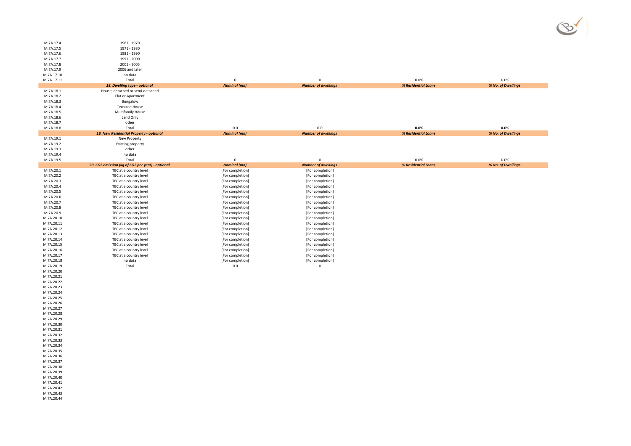| M.7A.17.4  | 1961 - 1970                                      |                     |                            |                     |                    |
|------------|--------------------------------------------------|---------------------|----------------------------|---------------------|--------------------|
| M.7A.17.5  | 1971 - 1980                                      |                     |                            |                     |                    |
| M.7A.17.6  | 1981 - 1990                                      |                     |                            |                     |                    |
| M.7A.17.7  | 1991 - 2000                                      |                     |                            |                     |                    |
| M.7A.17.8  | 2001 - 2005                                      |                     |                            |                     |                    |
| M.7A.17.9  | 2006 and later                                   |                     |                            |                     |                    |
| M.7A.17.10 | no data                                          |                     |                            |                     |                    |
| M.7A.17.11 | Total                                            | $\mathbf 0$         | $\mathbf 0$                | 0.0%                | $0.0\%$            |
|            | 18. Dwelling type - optional                     | <b>Nominal</b> (mn) | <b>Number of dwellings</b> | % Residential Loans | % No. of Dwellings |
| M.7A.18.1  | House, detached or semi-detached                 |                     |                            |                     |                    |
| M.7A.18.2  | Flat or Apartment                                |                     |                            |                     |                    |
| M.7A.18.3  | Bungalow                                         |                     |                            |                     |                    |
| M.7A.18.4  | <b>Terraced House</b>                            |                     |                            |                     |                    |
| M.7A.18.5  | <b>Multifamily House</b>                         |                     |                            |                     |                    |
| M.7A.18.6  | Land Only                                        |                     |                            |                     |                    |
| M.7A.18.7  | other                                            |                     |                            |                     |                    |
| M.7A.18.8  | Total                                            | 0.0                 | 0.0                        | 0.0%                | $0.0\%$            |
|            | 19. New Residential Property - optional          | <b>Nominal (mn)</b> | <b>Number of dwellings</b> | % Residential Loans | % No. of Dwellings |
| M.7A.19.1  | New Property                                     |                     |                            |                     |                    |
| M.7A.19.2  | <b>Existing property</b>                         |                     |                            |                     |                    |
| M.7A.19.3  | other                                            |                     |                            |                     |                    |
| M.7A.19.4  | no data                                          |                     |                            |                     |                    |
| M.7A.19.5  | Total                                            | $\mathbf 0$         | $\mathbf 0$                | 0.0%                | $0.0\%$            |
|            | 20. CO2 emission (kg of CO2 per year) - optional | <b>Nominal (mn)</b> | <b>Number of dwellings</b> | % Residential Loans | % No. of Dwellings |
| M.7A.20.1  | TBC at a country level                           | [For completion]    | [For completion]           |                     |                    |
| M.7A.20.2  | TBC at a country level                           | [For completion]    | [For completion]           |                     |                    |
| M.7A.20.3  | TBC at a country level                           | [For completion]    | [For completion]           |                     |                    |
| M.7A.20.4  | TBC at a country level                           | [For completion]    | [For completion]           |                     |                    |
| M.7A.20.5  | TBC at a country level                           | [For completion]    | [For completion]           |                     |                    |
| M.7A.20.6  | TBC at a country level                           | [For completion]    | [For completion]           |                     |                    |
| M.7A.20.7  | TBC at a country level                           | [For completion]    | [For completion]           |                     |                    |
| M.7A.20.8  | TBC at a country level                           | [For completion]    | [For completion]           |                     |                    |
| M.7A.20.9  | TBC at a country level                           | [For completion]    | [For completion]           |                     |                    |
| M.7A.20.10 | TBC at a country level                           | [For completion]    | [For completion]           |                     |                    |
| M.7A.20.11 | TBC at a country level                           | [For completion]    | [For completion]           |                     |                    |
| M.7A.20.12 | TBC at a country level                           | [For completion]    | [For completion]           |                     |                    |
| M.7A.20.13 | TBC at a country level                           | [For completion]    | [For completion]           |                     |                    |
| M.7A.20.14 | TBC at a country level                           | [For completion]    | [For completion]           |                     |                    |
| M.7A.20.15 | TBC at a country level                           | [For completion]    | [For completion]           |                     |                    |
| M.7A.20.16 | TBC at a country level                           | [For completion]    | [For completion]           |                     |                    |
| M.7A.20.17 | TBC at a country level                           | [For completion]    | [For completion]           |                     |                    |
| M.7A.20.18 | no data                                          | [For completion]    | [For completion]           |                     |                    |
| M.7A.20.19 | Total                                            | 0.0                 | $\overline{0}$             |                     |                    |
| M.7A.20.20 |                                                  |                     |                            |                     |                    |
| M.7A.20.21 |                                                  |                     |                            |                     |                    |
| M.7A.20.22 |                                                  |                     |                            |                     |                    |
| M.7A.20.23 |                                                  |                     |                            |                     |                    |
| M.7A.20.24 |                                                  |                     |                            |                     |                    |
| M.7A.20.25 |                                                  |                     |                            |                     |                    |
| M.7A.20.26 |                                                  |                     |                            |                     |                    |
| M.7A.20.27 |                                                  |                     |                            |                     |                    |
| M.7A.20.28 |                                                  |                     |                            |                     |                    |
| M.7A.20.29 |                                                  |                     |                            |                     |                    |
| M.7A.20.30 |                                                  |                     |                            |                     |                    |
| M.7A.20.31 |                                                  |                     |                            |                     |                    |
| M.7A.20.32 |                                                  |                     |                            |                     |                    |
| M.7A.20.33 |                                                  |                     |                            |                     |                    |
|            |                                                  |                     |                            |                     |                    |
| M.7A.20.34 |                                                  |                     |                            |                     |                    |
| M.7A.20.35 |                                                  |                     |                            |                     |                    |
| M.7A.20.36 |                                                  |                     |                            |                     |                    |
| M.7A.20.37 |                                                  |                     |                            |                     |                    |
| M.7A.20.38 |                                                  |                     |                            |                     |                    |
| M.7A.20.39 |                                                  |                     |                            |                     |                    |
| M.7A.20.40 |                                                  |                     |                            |                     |                    |
| M.7A.20.41 |                                                  |                     |                            |                     |                    |
| M.7A.20.42 |                                                  |                     |                            |                     |                    |
| M.7A.20.43 |                                                  |                     |                            |                     |                    |
| M.7A.20.44 |                                                  |                     |                            |                     |                    |



- 
- 
- 
- 
- 
- 
- 
- 
- 
- 
-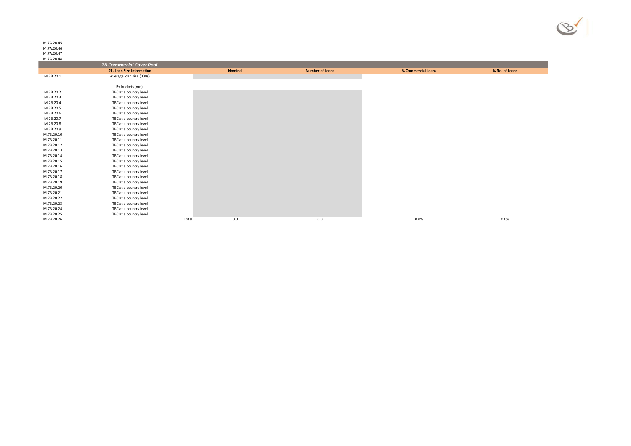M.7A.20.45 M.7A.20.46 M.7A.20.47 M.7A.20.48

П

| <b>171.7 A. ZU. 40</b> |                                 |       |                |                        |                    |                |
|------------------------|---------------------------------|-------|----------------|------------------------|--------------------|----------------|
|                        | <b>7B Commercial Cover Pool</b> |       |                |                        |                    |                |
|                        | 21. Loan Size Information       |       | <b>Nominal</b> | <b>Number of Loans</b> | % Commercial Loans | % No. of Loans |
| M.7B.20.1              | Average loan size (000s)        |       |                |                        |                    |                |
|                        |                                 |       |                |                        |                    |                |
|                        | By buckets (mn):                |       |                |                        |                    |                |
| M.7B.20.2              | TBC at a country level          |       |                |                        |                    |                |
| M.7B.20.3              | TBC at a country level          |       |                |                        |                    |                |
| M.7B.20.4              | TBC at a country level          |       |                |                        |                    |                |
| M.7B.20.5              | TBC at a country level          |       |                |                        |                    |                |
| M.7B.20.6              | TBC at a country level          |       |                |                        |                    |                |
| M.7B.20.7              | TBC at a country level          |       |                |                        |                    |                |
| M.7B.20.8              | TBC at a country level          |       |                |                        |                    |                |
| M.7B.20.9              | TBC at a country level          |       |                |                        |                    |                |
| M.7B.20.10             | TBC at a country level          |       |                |                        |                    |                |
| M.7B.20.11             | TBC at a country level          |       |                |                        |                    |                |
| M.7B.20.12             | TBC at a country level          |       |                |                        |                    |                |
| M.7B.20.13             | TBC at a country level          |       |                |                        |                    |                |
| M.7B.20.14             | TBC at a country level          |       |                |                        |                    |                |
| M.7B.20.15             | TBC at a country level          |       |                |                        |                    |                |
| M.7B.20.16             | TBC at a country level          |       |                |                        |                    |                |
| M.7B.20.17             | TBC at a country level          |       |                |                        |                    |                |
| M.7B.20.18             | TBC at a country level          |       |                |                        |                    |                |
| M.7B.20.19             | TBC at a country level          |       |                |                        |                    |                |
| M.7B.20.20             | TBC at a country level          |       |                |                        |                    |                |
| M.7B.20.21             | TBC at a country level          |       |                |                        |                    |                |
| M.7B.20.22             | TBC at a country level          |       |                |                        |                    |                |
| M.7B.20.23             | TBC at a country level          |       |                |                        |                    |                |
| M.7B.20.24             | TBC at a country level          |       |                |                        |                    |                |
| M.7B.20.25             | TBC at a country level          |       |                |                        |                    |                |
| M.7B.20.26             |                                 | Total | 0.0            | 0.0                    | $0.0\%$            | 0.0%           |
|                        |                                 |       |                |                        |                    |                |

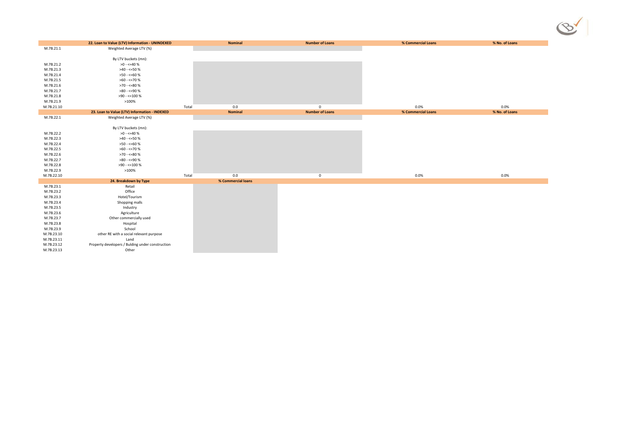|            | 22. Loan to Value (LTV) Information - UNINDEXED  |       | <b>Nominal</b>     | <b>Number of Loans</b> | % Commercial Loans | % No. of Loans |
|------------|--------------------------------------------------|-------|--------------------|------------------------|--------------------|----------------|
| M.7B.21.1  | Weighted Average LTV (%)                         |       |                    |                        |                    |                |
|            |                                                  |       |                    |                        |                    |                |
|            | By LTV buckets (mn):                             |       |                    |                        |                    |                |
| M.7B.21.2  | $>0 - 540%$                                      |       |                    |                        |                    |                |
| M.7B.21.3  | $>40 - 50%$                                      |       |                    |                        |                    |                |
| M.7B.21.4  | >50 - <=60 %                                     |       |                    |                        |                    |                |
| M.7B.21.5  | $>60 - 50$                                       |       |                    |                        |                    |                |
| M.7B.21.6  | >70 - <=80 %                                     |       |                    |                        |                    |                |
| M.7B.21.7  | >80 - <=90 %                                     |       |                    |                        |                    |                |
| M.7B.21.8  | >90 - <=100 %                                    |       |                    |                        |                    |                |
| M.7B.21.9  | >100%                                            |       |                    |                        |                    |                |
| M.7B.21.10 |                                                  | Total | 0.0                | $\mathbf 0$            | 0.0%               | $0.0\%$        |
|            | 23. Loan to Value (LTV) Information - INDEXED    |       | <b>Nominal</b>     | <b>Number of Loans</b> | % Commercial Loans | % No. of Loans |
| M.7B.22.1  | Weighted Average LTV (%)                         |       |                    |                        |                    |                |
|            |                                                  |       |                    |                        |                    |                |
|            | By LTV buckets (mn):                             |       |                    |                        |                    |                |
| M.7B.22.2  | $>0 - 540%$                                      |       |                    |                        |                    |                |
| M.7B.22.3  | $>40 - 50%$                                      |       |                    |                        |                    |                |
| M.7B.22.4  | >50 - <=60 %                                     |       |                    |                        |                    |                |
| M.7B.22.5  | >60 - <=70 %                                     |       |                    |                        |                    |                |
| M.7B.22.6  | >70 - <=80 %                                     |       |                    |                        |                    |                |
| M.7B.22.7  | >80 - <=90 %                                     |       |                    |                        |                    |                |
| M.7B.22.8  | $>90 - 5100 %$                                   |       |                    |                        |                    |                |
| M.7B.22.9  | >100%                                            |       |                    |                        |                    |                |
| M.7B.22.10 |                                                  | Total | 0.0                | $\mathbf 0$            | 0.0%               | 0.0%           |
|            | 24. Breakdown by Type                            |       | % Commercial loans |                        |                    |                |
| M.7B.23.1  | Retail                                           |       |                    |                        |                    |                |
| M.7B.23.2  | Office                                           |       |                    |                        |                    |                |
| M.7B.23.3  | Hotel/Tourism                                    |       |                    |                        |                    |                |
| M.7B.23.4  | Shopping malls                                   |       |                    |                        |                    |                |
| M.7B.23.5  | Industry                                         |       |                    |                        |                    |                |
| M.7B.23.6  | Agriculture                                      |       |                    |                        |                    |                |
| M.7B.23.7  | Other commercially used                          |       |                    |                        |                    |                |
| M.7B.23.8  | Hospital                                         |       |                    |                        |                    |                |
| M.7B.23.9  | School                                           |       |                    |                        |                    |                |
| M.7B.23.10 | other RE with a social relevant purpose          |       |                    |                        |                    |                |
| M.7B.23.11 | Land                                             |       |                    |                        |                    |                |
| M.7B.23.12 | Property developers / Bulding under construction |       |                    |                        |                    |                |
| M.7B.23.13 | Other                                            |       |                    |                        |                    |                |

| À |  |
|---|--|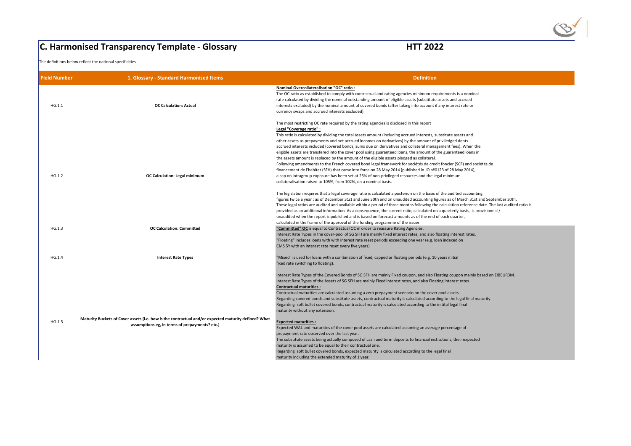|                     | <b>C. Harmonised Transparency Template - Glossary</b>                                                                                                  | <b>HTT 2022</b>                                                                                                                                                                                                                                                                                                                                                                                                                                                                                                                                                                                                                                                                                                                                                                                                                                                                                                                                                              |
|---------------------|--------------------------------------------------------------------------------------------------------------------------------------------------------|------------------------------------------------------------------------------------------------------------------------------------------------------------------------------------------------------------------------------------------------------------------------------------------------------------------------------------------------------------------------------------------------------------------------------------------------------------------------------------------------------------------------------------------------------------------------------------------------------------------------------------------------------------------------------------------------------------------------------------------------------------------------------------------------------------------------------------------------------------------------------------------------------------------------------------------------------------------------------|
|                     | The definitions below reflect the national specificities                                                                                               |                                                                                                                                                                                                                                                                                                                                                                                                                                                                                                                                                                                                                                                                                                                                                                                                                                                                                                                                                                              |
| <b>Field Number</b> | 1. Glossary - Standard Harmonised Items                                                                                                                | <b>Definition</b>                                                                                                                                                                                                                                                                                                                                                                                                                                                                                                                                                                                                                                                                                                                                                                                                                                                                                                                                                            |
| HG.1.1              | <b>OC Calculation: Actual</b>                                                                                                                          | <b>Nominal Overcollateralisation "OC" ratio:</b><br>The OC ratio as established to comply with contractual and rating agencies minimum require<br>rate calculated by dividing the nominal outstanding amount of eligible assets (substitute ass<br>interests excluded) by the nominal amount of covered bonds (after taking into account if an<br>currency swaps and accrued interests excluded).                                                                                                                                                                                                                                                                                                                                                                                                                                                                                                                                                                            |
| HG.1.2              | <b>OC Calculation: Legal minimum</b>                                                                                                                   | The most restricting OC rate required by the rating agencies is disclosed in this report<br>Legal "Coverage ratio" :<br>This ratio is calculated by dividing the total assets amount (including accrued interests, subst<br>other assets as prepayments and net accrued incomes on derivatives) by the amount of priv<br>accrued interests included (covered bonds, sums due on derivatives and collateral managem<br>eligible assets are transfered into the cover pool using guaranteed loans, the amount of the<br>the assets amount is replaced by the amount of the eligible assets pledged as collateral.<br>Following amendments to the French covered bond legal framework for sociétés de credit fo<br>financement de l'habitat (SFH) that came into force on 28 May 2014 (published in JO nº0123<br>a cap on intragroup exposure has been set at 25% of non-privileged resources and the legal<br>collateralisation raised to 105%, from 102%, on a nominal basis. |
|                     |                                                                                                                                                        | The legislation requires that a legal coverage ratio is calculated a posteriori on the basis of the<br>figures twice a year : as of December 31st and June 30th and on unaudited accounting figure<br>These legal ratios are audited and available within a period of three months following the ca<br>provided as an additional information. As a consequence, the current ratio, calculated on a c<br>unaudited when the report is published and is based on forecast amounts as of the end of e                                                                                                                                                                                                                                                                                                                                                                                                                                                                           |
| HG.1.3              | <b>OC Calculation: Committed</b>                                                                                                                       | calculated in the frame of the approval of the funding programme of the issuer.<br>"Committed" OC is equal to Contractual OC in order to reassure Rating Agencies.<br>Interest Rate Types in the cover-pool of SG SFH are mainly fixed interest rates, and also float<br>"Floating" includes loans with with interest rate reset periods exceeding one year (e.g. loan<br>CMS 5Y with an interest rate reset every five years)                                                                                                                                                                                                                                                                                                                                                                                                                                                                                                                                               |
| HG.1.4              | <b>Interest Rate Types</b>                                                                                                                             | "Mixed" is used for loans with a combination of fixed, capped or floating periods (e.g. 10 yea<br>fixed rate switching to floating).                                                                                                                                                                                                                                                                                                                                                                                                                                                                                                                                                                                                                                                                                                                                                                                                                                         |
|                     |                                                                                                                                                        | Interest Rate Types of the Covered Bonds of SG SFH are mainly Fixed coupon, and also Float<br>Interest Rate Types of the Assets of SG SFH are mainly Fixed interest rates, and also Floating<br><b>Contractual maturities:</b><br>Contractual maturities are calculated assuming a zero prepayment scenario on the cover po<br>Regarding covered bonds and substitute assets, contractual maturity is calculated according<br>Regarding soft bullet covered bonds, contractual maturity is calculated according to the init<br>maturity without any extension.                                                                                                                                                                                                                                                                                                                                                                                                               |
| HG.1.5              | Maturity Buckets of Cover assets [i.e. how is the contractual and/or expected maturity defined? What<br>assumptions eg, in terms of prepayments? etc.] | <b>Expected maturities:</b><br>Expected WAL and maturities of the cover pool assets are calculated assuming an average p<br>prepayment rate observed over the last year.<br>The substitute assets being actually composed of cash and term deposits to financial instituted<br>maturity is assumed to be equal to their contractual one.<br>Regarding soft bullet covered bonds, expected maturity is calculated according to the legal                                                                                                                                                                                                                                                                                                                                                                                                                                                                                                                                      |



tual and rating agencies minimum requirements is a nominal gamount of eligible assets (substitute assets and accrued red bonds (after taking into account if any interest rate or

amount (including accrued interests, substitute assets and mes on derivatives) by the amount of priviledged debts ue on derivatives and collateral management fees). When the ing guaranteed loans, the amount of the guaranteed loans in the assets pledged as collateral. d legal framework for sociétés de credit foncier (SCF) and sociétés de

em 28 May 2014 (published in JO nº0123 of 28 May 2014), of non-privileged resources and the legal minimum ominal basis.

is calculated a posteriori on the basis of the audited accounting

: 30th and on unaudited accounting figures as of March 31st and September 30th.

a period of three months following the calculation reference date. The last audited ratio is

uence, the current ratio, calculated on a quarterly basis, is provisionnal  $/$ 

ed on forecast amounts as of the end of each quarter,

mainly fixed interest rates, and also floating interest rates.

et periods exceeding one year (e.g. loan indexed on

ed, capped or floating periods (e.g. 10 years initial

I are mainly Fixed coupon, and also Floating coupon mainly based on EIBEUR3M. inly Fixed interest rates, and also Floating interest rates.

ero prepayment scenario on the cover pool assets.

ntractual maturity is calculated according to the legal final maturity.

haturity is calculated according to the initital legal final

ets are calculated assuming an average percentage of

ash and term deposits to financial institutions, their expected

turity is calculated according to the legal final

maturity including the extended maturity of 1 year.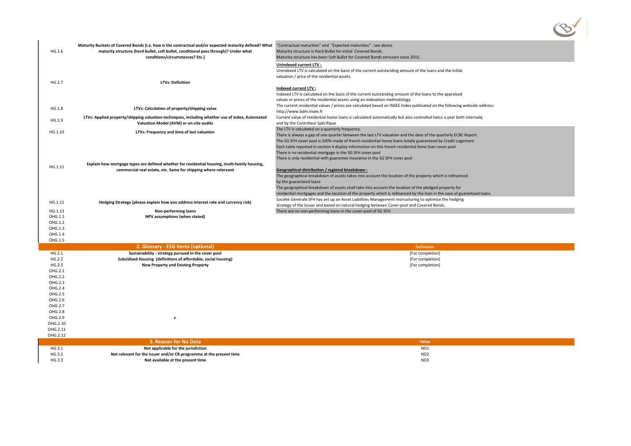| HG.1.6             | Maturity Buckets of Covered Bonds [i.e. how is the contractual and/or expected maturity defined? What<br>maturity structure (hard bullet, soft bullet, conditional pass through)? Under what<br>conditions/circumstances? Etc.] | "Contractual maturities" and "Expected maturities" : see above.<br>Maturity structure is Hard Bullet for initial Covered Bonds.<br>Maturity structure has been Soft Bullet for Covered Bonds emission since 2015. |
|--------------------|---------------------------------------------------------------------------------------------------------------------------------------------------------------------------------------------------------------------------------|-------------------------------------------------------------------------------------------------------------------------------------------------------------------------------------------------------------------|
|                    |                                                                                                                                                                                                                                 | <b>Unindexed current LTV:</b>                                                                                                                                                                                     |
|                    |                                                                                                                                                                                                                                 | Unindexed LTV is calculated on the basis of the current outstanding amount of the loans and the initial                                                                                                           |
|                    |                                                                                                                                                                                                                                 | valuation / price of the residential assets.                                                                                                                                                                      |
| HG.1.7             | <b>LTVs: Definition</b>                                                                                                                                                                                                         |                                                                                                                                                                                                                   |
|                    |                                                                                                                                                                                                                                 | <b>Indexed current LTV:</b>                                                                                                                                                                                       |
|                    |                                                                                                                                                                                                                                 | Indexed LTV is calculated on the basis of the current outstanding amount of the loans to the appraised                                                                                                            |
|                    |                                                                                                                                                                                                                                 | values or prices of the residential assets using an indexation methodology.                                                                                                                                       |
| HG.1.8             | LTVs: Calculation of property/shipping value                                                                                                                                                                                    | The current residential values / prices are calculated based on INSEE Index publicated on the following webside address:<br>http://www.bdm.insee.fr                                                               |
|                    | LTVs: Applied property/shipping valuation techniques, including whether use of index, Automated                                                                                                                                 | Current value of residential home loans is calculated automatically but also controlled twice a year both internally                                                                                              |
| HG.1.9             | Valuation Model (AVM) or on-site audits                                                                                                                                                                                         | and by the Contrôleur Spécifique                                                                                                                                                                                  |
|                    |                                                                                                                                                                                                                                 | The LTV is calculated on a quarterly frequency.                                                                                                                                                                   |
| HG.1.10            | LTVs: Frequency and time of last valuation                                                                                                                                                                                      | There is always a gap of one quarter between the last LTV valuation and the date of the quarterly ECBC Report.                                                                                                    |
|                    |                                                                                                                                                                                                                                 | The SG SFH cover pool is 100% made of french residential home loans totally guaranteed by Credit Logement                                                                                                         |
|                    |                                                                                                                                                                                                                                 | Each table reported in section 4 display information on this french residential fome loan cover pool                                                                                                              |
|                    |                                                                                                                                                                                                                                 | There is no residential mortgage in the SG SFH cover pool                                                                                                                                                         |
|                    |                                                                                                                                                                                                                                 | There is only residential with guarantee insurance in the SG SFH cover pool                                                                                                                                       |
| HG.1.11            | Explain how mortgage types are defined whether for residential housing, multi-family housing,                                                                                                                                   |                                                                                                                                                                                                                   |
|                    | commercial real estate, etc. Same for shipping where relecvant                                                                                                                                                                  | <b>Geographical distribution / regional breakdown:</b><br>The geographical breakdown of assets takes into account the location of the property which is refinanced                                                |
|                    |                                                                                                                                                                                                                                 | by the guaranteed loans                                                                                                                                                                                           |
|                    |                                                                                                                                                                                                                                 | The geographical breakdown of assets shall take into account the location of the pledged property for                                                                                                             |
|                    |                                                                                                                                                                                                                                 | residential mortgages and the location of the property which is refinanced by the loan in the case of guaranteed loans.                                                                                           |
| HG.1.12            | Hedging Strategy (please explain how you address interest rate and currency risk)                                                                                                                                               | Société Générale SFH has set up an Asset Liabilities Management restructuring to optimize the hedging                                                                                                             |
|                    |                                                                                                                                                                                                                                 | strategy of the Issuer and based on natural hedging between Cover-pool and Covered Bonds.                                                                                                                         |
| HG.1.13            | <b>Non-performing loans</b>                                                                                                                                                                                                     | There are no non-performing loans in the cover-pool of SG SFH.                                                                                                                                                    |
| OHG.1.1            | NPV assumptions (when stated)                                                                                                                                                                                                   |                                                                                                                                                                                                                   |
| OHG.1.2            |                                                                                                                                                                                                                                 |                                                                                                                                                                                                                   |
| OHG.1.3<br>OHG.1.4 |                                                                                                                                                                                                                                 |                                                                                                                                                                                                                   |
| OHG.1.5            |                                                                                                                                                                                                                                 |                                                                                                                                                                                                                   |
|                    | 2. Glossary - ESG items (optional)                                                                                                                                                                                              | <b>Definition</b>                                                                                                                                                                                                 |
| HG.2.1             | Sustainability - strategy pursued in the cover pool                                                                                                                                                                             | [For completion]                                                                                                                                                                                                  |
| HG.2.2             | Subsidised Housing (definitions of affordable, social housing)                                                                                                                                                                  | [For completion]                                                                                                                                                                                                  |
| HG.2.3             | <b>New Property and Existing Property</b>                                                                                                                                                                                       | [For completion]                                                                                                                                                                                                  |
| OHG.2.1            |                                                                                                                                                                                                                                 |                                                                                                                                                                                                                   |
| OHG.2.2            |                                                                                                                                                                                                                                 |                                                                                                                                                                                                                   |
| OHG.2.3            |                                                                                                                                                                                                                                 |                                                                                                                                                                                                                   |
| OHG.2.4<br>OHG.2.5 |                                                                                                                                                                                                                                 |                                                                                                                                                                                                                   |
| OHG.2.6            |                                                                                                                                                                                                                                 |                                                                                                                                                                                                                   |
| OHG.2.7            |                                                                                                                                                                                                                                 |                                                                                                                                                                                                                   |
| OHG.2.8            |                                                                                                                                                                                                                                 |                                                                                                                                                                                                                   |
| OHG.2.9            | -S                                                                                                                                                                                                                              |                                                                                                                                                                                                                   |
| OHG.2.10           |                                                                                                                                                                                                                                 |                                                                                                                                                                                                                   |
| OHG.2.11           |                                                                                                                                                                                                                                 |                                                                                                                                                                                                                   |
| OHG.2.12           |                                                                                                                                                                                                                                 |                                                                                                                                                                                                                   |
|                    | 3. Reason for No Data                                                                                                                                                                                                           | Value                                                                                                                                                                                                             |
| HG.3.1             | Not applicable for the jurisdiction                                                                                                                                                                                             | ND1                                                                                                                                                                                                               |
| HG.3.2             | Not relevant for the issuer and/or CB programme at the present time                                                                                                                                                             | ND <sub>2</sub>                                                                                                                                                                                                   |
| HG.3.3             | Not available at the present time                                                                                                                                                                                               | ND3                                                                                                                                                                                                               |



- 
- 
-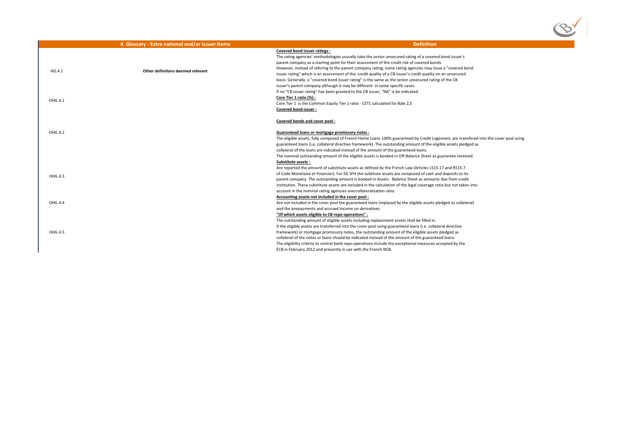|         | 4. Glossary - Extra national and/or Issuer Items | <b>Definition</b>                                                                                                                                                                        |
|---------|--------------------------------------------------|------------------------------------------------------------------------------------------------------------------------------------------------------------------------------------------|
|         |                                                  | <b>Covered bond issuer ratings:</b>                                                                                                                                                      |
|         |                                                  | The rating agencies' methodologies ususally take the senior unsecured rating of a covere                                                                                                 |
|         |                                                  | parent company as a starting point for their assessment of the credit risk of covered bone                                                                                               |
| HG.4.1  | Other definitions deemed relevant                | However, instead of refering to the parent company rating, some rating agencies may iss                                                                                                  |
|         |                                                  | issuer rating" which is an assessment of the credit quality of a CB issuer's credit quality of                                                                                           |
|         |                                                  | basis. Generally, a "covered bond issuer rating" is the same as the senior unsecured ratin                                                                                               |
|         |                                                  | issuer's parent company although it may be different in some specific cases.                                                                                                             |
|         |                                                  | If no "CB issuer rating" has been granted to the CB issuer, "NA" is be indicated.                                                                                                        |
| OHG.4.1 |                                                  | Core Tier 1 ratio (%) :                                                                                                                                                                  |
|         |                                                  | Core Tier 1 is the Common Equity Tier 1 ratio - CET1 calculated for Bale 2,5                                                                                                             |
|         |                                                  | <b>Covered bond issuer:</b>                                                                                                                                                              |
|         |                                                  | <b>Covered bonds and cover pool:</b>                                                                                                                                                     |
| OHG.4.2 |                                                  | <b>Guaranteed loans or mortgage promissory notes:</b>                                                                                                                                    |
|         |                                                  | The eligible assets, fully composed of French Home Loans 100% guaranteed by Credit Log                                                                                                   |
|         |                                                  | guaranteed loans (i.e. collateral directive framework). The outstanding amount of the eliption                                                                                           |
|         |                                                  | collateral of the loans are indicated instead of the amount of the guaranteed loans.                                                                                                     |
|         |                                                  | The nominal outstanding amount of the eligible assets is booked in Off-Balance Sheet as                                                                                                  |
|         |                                                  | <b>Substitute assets:</b>                                                                                                                                                                |
|         |                                                  | Are reported the amount of substitute assets as defined by the French Law (Articles L515                                                                                                 |
| OHG.4.3 |                                                  | of Code Monétaire et Financier). For SG SFH the subtitute assets are composed of cash a                                                                                                  |
|         |                                                  | parent company. The outstanding amount is booked in Assets - Balance Sheet as amount                                                                                                     |
|         |                                                  | institution. These substitute assets are included in the calculation of the legal coverage ra                                                                                            |
|         |                                                  | account in the nominal rating agencies overcollateralisation ratio.                                                                                                                      |
|         |                                                  | Accounting assets not included in the cover pool:                                                                                                                                        |
| OHG.4.4 |                                                  | Are not included in the cover pool the guaranteed loans (replaced by the eligible assets p                                                                                               |
|         |                                                  | and the prepayments and accrued income on derivatives.                                                                                                                                   |
|         |                                                  | "Of which assets eligible to CB repo-operations" :                                                                                                                                       |
|         |                                                  | The outstanding amount of eligible assets including replacement assets shall be filled in.                                                                                               |
| OHG.4.5 |                                                  | If the eligible assets are transferred into the cover pool using guaranteed loans (i.e. collat<br>framework) or mortgage promissory notes, the outstanding amount of the eligible assets |
|         |                                                  | collateral of the notes or loans should be indicated instead of the amount of the guarante                                                                                               |
|         |                                                  | The eligibility criteria to central bank repo-operations include the exceptional measures a                                                                                              |
|         |                                                  | ECB in February 2012 and presently in use with the French NCB.                                                                                                                           |
|         |                                                  |                                                                                                                                                                                          |



- the senior unsecured rating of a covered bond issuer's
- ssment of the credit risk of covered bonds.
- any rating, some rating agencies may issue a "covered bond
- it quality of a CB issuer's credit quality on an unsecured
- s the same as the senior unsecured rating of the CB
- rent in some specific cases.
- If issuer, "NA" is be indicated.

- ne Loans 100% guaranteed by Credit Logement, are transfered into the cover pool using rork). The outstanding amount of the eligible assets pledged as
- e amount of the guaranteed loans.
- Issets is booked in Off-Balance Sheet as guarantee received.
- defined by the French Law (Articles L515-17 and R515-7
- subtitute assets are composed of cash and deposits to its
- ked in Assets Balance Sheet as amounts due from credit
- ithe calculation of the legal coverage ratio but not taken into eralisation ratio.
- 
- I loans (replaced by the eligible assets pledged as collateral) ivatives.
- 
- ing replacement assets shall be filled in.
- pool using guaranteed loans (i.e. collateral directive
- utstanding amount of the eligible assets pledged as
- d instead of the amount of the guaranteed loans.
- tions include the exceptional measures accepted by the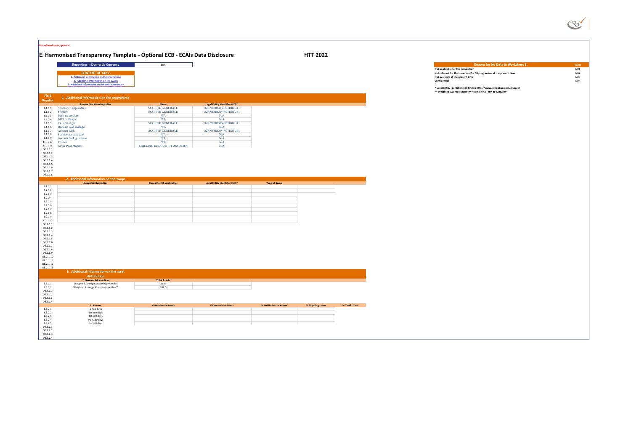|                                                                                                                                                                                                                                                                             | This addendum is optional                                                                                                                                                                                                                                                                                                        |                                                                                                                                                                                                   |                                                                                                                                                                                 |                        |                  |               |
|-----------------------------------------------------------------------------------------------------------------------------------------------------------------------------------------------------------------------------------------------------------------------------|----------------------------------------------------------------------------------------------------------------------------------------------------------------------------------------------------------------------------------------------------------------------------------------------------------------------------------|---------------------------------------------------------------------------------------------------------------------------------------------------------------------------------------------------|---------------------------------------------------------------------------------------------------------------------------------------------------------------------------------|------------------------|------------------|---------------|
|                                                                                                                                                                                                                                                                             | E. Harmonised Transparency Template - Optional ECB - ECAIs Data Disclosure                                                                                                                                                                                                                                                       |                                                                                                                                                                                                   |                                                                                                                                                                                 |                        | <b>HTT 2022</b>  |               |
|                                                                                                                                                                                                                                                                             | <b>Reporting in Domestic Currency</b><br><b>CONTENT OF TAB E</b><br>1. Additional information on the programme<br>2. Additional information on the swaps<br>. Additional information on the asset distribution                                                                                                                   | <b>EUR</b>                                                                                                                                                                                        |                                                                                                                                                                                 |                        |                  |               |
| Field<br><b>Number</b>                                                                                                                                                                                                                                                      | 1. Additional information on the programme                                                                                                                                                                                                                                                                                       |                                                                                                                                                                                                   |                                                                                                                                                                                 |                        |                  |               |
| E.1.1.1<br>E.1.1.2<br>E.1.1.3<br>E.1.1.4<br>E.1.1.5<br>E.1.1.6<br>E.1.1.7<br>E.1.1.8<br>E.1.1.9<br>E.1.1.10<br>E.1.1.11<br>OE.1.1.1<br>OE.1.1.2<br>OE.1.1.3<br>OE.1.1.4<br>OE.1.1.5<br>OE.1.1.6<br>OE.1.1.7<br>OE.1.1.8                                                     | <b>Transaction Counterparties</b><br>Sponsor (if applicable)<br>Servicer<br>Back-up servicer<br><b>BUS</b> facilitator<br>Cash manager<br>Back-up cash manager<br><b>Account bank</b><br>Standby account bank<br>Account bank guarantor<br><b>Trustee</b><br><b>Cover Pool Monitor</b><br>2. Additional information on the swaps | <b>Name</b><br><b>SOCIETE GENERALE</b><br><b>SOCIETE GENERALE</b><br>N/A<br>N/A<br><b>SOCIETE GENERALE</b><br>N/A<br><b>SOCIETE GENERALE</b><br>N/A<br>N/A<br>N/A<br>CAILLIAU DEDOUIT ET ASSOCIES | Legal Entity Identifier (LEI)*<br>O2RNE8IBXP4R0TD8PU41<br>O2RNE8IBXP4R0TD8PU41<br>N/A<br>N/A<br>O2RNE8IBXP4R0TD8PU41<br>N/A<br>O2RNE8IBXP4R0TD8PU41<br>N/A<br>N/A<br>N/A<br>N/A |                        |                  |               |
|                                                                                                                                                                                                                                                                             | <b>Swap Counterparties</b>                                                                                                                                                                                                                                                                                                       | <b>Guarantor (if applicable)</b>                                                                                                                                                                  | Legal Entity Identifier (LEI)*                                                                                                                                                  | <b>Type of Swap</b>    |                  |               |
| E.2.1.1<br>E.2.1.2<br>E.2.1.3<br>E.2.1.4<br>E.2.1.5<br>E.2.1.6<br>E.2.1.7<br>E.2.1.8<br>E.2.1.9<br>E.2.1.10<br>OE.2.1.1<br>OE.2.1.2<br>OE.2.1.3<br>OE.2.1.4<br>OE.2.1.5<br>OE.2.1.6<br>OE.2.1.7<br>OE.2.1.8<br>OE.2.1.9<br>OE.2.1.10<br>OE.2.1.11<br>OE.2.1.12<br>OE.2.1.13 | 3. Additional information on the asset                                                                                                                                                                                                                                                                                           |                                                                                                                                                                                                   |                                                                                                                                                                                 |                        |                  |               |
|                                                                                                                                                                                                                                                                             | distribution<br>1. General Information                                                                                                                                                                                                                                                                                           | <b>Total Assets</b>                                                                                                                                                                               |                                                                                                                                                                                 |                        |                  |               |
| E.3.1.1<br>E.3.1.2<br>OE.3.1.1<br>OE.3.1.2<br>OE.3.1.3<br>OE.3.1.4                                                                                                                                                                                                          | Weighted Average Seasoning (months)<br>Weighted Average Maturity (months)**                                                                                                                                                                                                                                                      | 46.6<br>182.0                                                                                                                                                                                     |                                                                                                                                                                                 |                        |                  |               |
| E.3.2.1<br>E.3.2.2<br>E.3.2.3<br>E.3.2.4<br>E.3.2.5<br>OE.3.2.1<br>OE.3.2.2<br>OE.3.2.3<br>OE.3.2.4                                                                                                                                                                         | 2. Arrears<br>1-<30 days<br>30-<60 days<br>60-<90 days<br>90-<180 days<br>>= 180 days                                                                                                                                                                                                                                            | % Residential Loans                                                                                                                                                                               | % Commercial Loans                                                                                                                                                              | % Public Sector Assets | % Shipping Loans | % Total Loans |

| fier (LEI) <sup>*</sup> |
|-------------------------|
| TD8PU41                 |
| TD8PU41                 |
|                         |
|                         |
| TD8PU41                 |
|                         |
| TD8PU41                 |
|                         |
|                         |
|                         |
|                         |
|                         |

| er (LEI)* | <b>Type of Swap</b> |  |
|-----------|---------------------|--|
|           |                     |  |
|           |                     |  |
|           |                     |  |
|           |                     |  |
|           |                     |  |
|           |                     |  |
|           |                     |  |
|           |                     |  |
|           |                     |  |
|           |                     |  |

| oans | % Public Sector Assets | % Shipping Loans | % Total Loans |
|------|------------------------|------------------|---------------|
|      |                        |                  |               |
|      |                        |                  |               |
|      |                        |                  |               |
|      |                        |                  |               |
|      |                        |                  |               |



# **Reason for No Data in Worksheet E. Currency Expansion of August 2012** Value Contract 2013 MD1 **CONTENT OF TAB EXERCT OF TAB EXERCT OF TAB A PROOF AND A POST OF TABLE PROOF AND A POST OF TABLE PROOF AND A POS<br>
Not available at the present time <b>ND3**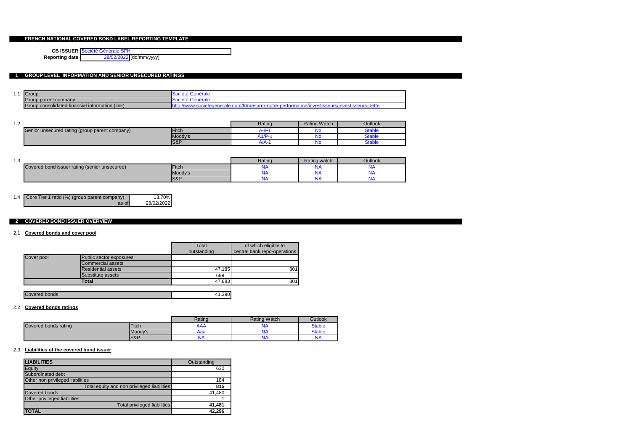### **FRENCH NATIONAL COVERED BOND LABEL REPORTING TEMPLATE**

**CB ISSUER** Société Générale SFH

**Reporting date** 28/02/2022 (dd/mm/yyyy)

### **1 GROUP LEVEL INFORMATION AND SENIOR UNSECURED RATINGS**

| .                                               | Group                     | <b>SOCIETE</b><br>uei<br>ι αιτ                       |  |  |
|-------------------------------------------------|---------------------------|------------------------------------------------------|--|--|
|                                                 | parent company د<br>Group | <b>ISOCIETE</b><br>oë<br>ιακ                         |  |  |
| Group consolidated financial information (link) |                           | 4h'<br>urs<br>nr<br>me<br>sur<br>.SUS<br>--<br>יסננט |  |  |

| າ ຕ<br>. |                                                |         | Rating | <b>Rating Watch</b> | Outlook |
|----------|------------------------------------------------|---------|--------|---------------------|---------|
|          | Senior unsecured rating (group parent company) | Fitch   |        | w                   | Stable  |
|          |                                                | Moody's | $/$ P- | ч١                  | Stable  |
|          |                                                | $ S\&P$ | -wa    | N                   | Stable  |

| $\sim$<br>ں. ا |                                               |         | Rating | Rating watch | Outlook |
|----------------|-----------------------------------------------|---------|--------|--------------|---------|
|                | Covered bond issuer rating (senior unsecured) | Fitch   |        | v            |         |
|                |                                               | Moody's |        | м.           |         |
|                |                                               | $ S\&P$ |        | л.           | . .     |

| 1.4 Core Tier 1 ratio (%) (group parent company) | 13.70%     |
|--------------------------------------------------|------------|
| as of                                            | 28/02/2022 |

#### **2 COVERED BOND ISSUER OVERVIEW**

#### 2.1 **Covered bonds and cover pool**

|            |                           | Total       | of which eligible to         |
|------------|---------------------------|-------------|------------------------------|
|            |                           | outstanding | central bank repo-operations |
| Cover pool | Public sector exposures   |             |                              |
|            | <b>Commercial assets</b>  |             |                              |
|            | <b>Residential assets</b> | 47,185      | 801                          |
|            | Substitute assets         | 699         |                              |
|            | Total                     | 47,883      | 801                          |

| <b>Covered bonds</b> |    |
|----------------------|----|
|                      | 90 |

#### 2.2 **Covered bonds ratings**

|                      |              | Rating | Rating Watch | Outlook       |
|----------------------|--------------|--------|--------------|---------------|
| Covered bonds rating | <b>Fitch</b> | AAA    |              | <b>Stable</b> |
|                      | Moody's      | Aaa    | NA           | <b>Stable</b> |
|                      | S&P          | .      | NΑ           | NΑ            |

#### 2.3 **Liabilities of the covered bond issuer**

| <b>LIABILITIES</b>                          | Outstanding |
|---------------------------------------------|-------------|
| Equity                                      | 630         |
| Subordinated debt                           |             |
| Other non privileged liabilities            | 184         |
| Total equity and non privileged liabilities | 815         |
| <b>Covered bonds</b>                        | 41,480      |
| Other privileged liabilities                |             |
| Total privileged liabilities                | 41,481      |
| <b>TOTAL</b>                                | 42,296      |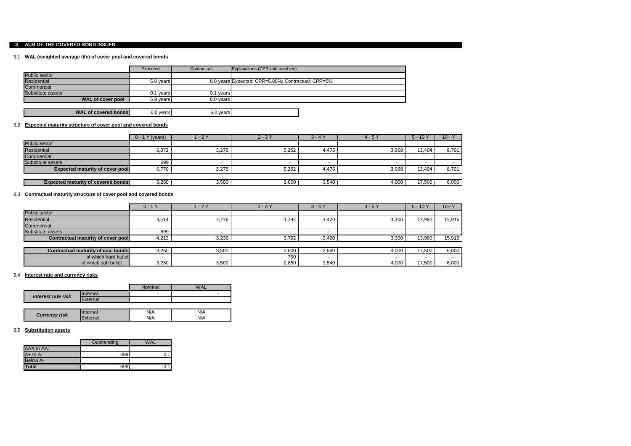### **3 ALM OF THE COVERED BOND ISSUER**

#### 3.1 **WAL (weighted average life) of cover pool and covered bonds**

|                             | Expected     | Contractual | Explanations (CPR rate used etc)                   |
|-----------------------------|--------------|-------------|----------------------------------------------------|
| <b>Public sector</b>        |              |             |                                                    |
| Residential                 | 5.8 years    |             | 8.0 years Expected: CPR=5.86%; Contractual: CPR=0% |
| Commercial                  |              |             |                                                    |
| Substitute assets           | vears<br>0.1 | 0.1 years   |                                                    |
| WAL of cover pool           | 5.8 years    | 8.0 years   |                                                    |
|                             |              |             |                                                    |
| <b>WAL of covered bonds</b> | 6.0 years    | 6.0 years   |                                                    |

#### 3.2 **Expected maturity structure of cover pool and covered bonds**

|                                           | I Y (years)<br>$0 - 1$ | $-2Y$ | $2 - 3Y$ | $3 - 4Y$ | $4 - 5Y$ | $5 - 10Y$ | $10 + Y$ |
|-------------------------------------------|------------------------|-------|----------|----------|----------|-----------|----------|
| Public sector                             |                        |       |          |          |          |           |          |
| Residential                               | 6,072                  | 5,275 | 5,262    | 4,476    | 3,968    | 13,404    | 8,701    |
| Commercial                                |                        |       |          |          |          |           |          |
| Substitute assets                         | 699                    |       |          |          |          |           |          |
| <b>Expected maturity of cover pool</b>    | 6,770                  | 5,275 | 5,262    | 4,476    | 3,968    | 13,404    | 8,701    |
|                                           |                        |       |          |          |          |           |          |
| <b>Expected maturity of covered bonds</b> | 3,250                  | 3,500 | 3,600    | 3,540    | 4,000    | 17,500    | 6,000    |

#### 3.3 **Contractual maturity structure of cover pool and covered bonds**

| $\mathsf{Y}$<br>$0 - 1$                   | $\sqrt{-2Y}$   | $2 - 3Y$ | $3 - 4Y$ | $4 - 5Y$                 | $5 - 10$ | $10 + Y$ |
|-------------------------------------------|----------------|----------|----------|--------------------------|----------|----------|
| Public sector                             |                |          |          |                          |          |          |
| Residential                               | 3,236<br>3,514 | 3,792    | 3,420    | 3,300                    | 13,980   | 15,916   |
| Commercial                                |                |          |          |                          |          |          |
| Substitute assets                         | 699            |          |          | $\overline{\phantom{a}}$ |          |          |
| <b>Contractual maturity of cover pool</b> | 3,236<br>4,213 | 3,792    | 3,420    | 3,300                    | 13,980   | 15,916   |
|                                           |                |          |          |                          |          |          |
| <b>Contractual maturity of cov. bonds</b> | 3,500<br>3,250 | 3,600    | 3,540    | 4,000                    | 17,500   | 6,000    |
| of which hard bullet<br>-                 |                | 750      |          |                          |          |          |
| of which soft bullet                      | 3,250<br>3,500 | 2,850    | 3,540    | 4,000                    | 17,500   | 6,000    |

#### 3.4 **Interest rate and currency risks**

#### 3.5 **Substitution assets**

|                      |                 | <b>Nominal</b> | WAI |
|----------------------|-----------------|----------------|-----|
| Interest rate risk   | <b>Internal</b> | $\blacksquare$ | -   |
|                      | External        |                |     |
|                      |                 |                |     |
|                      | nternal         | N/A            | N/A |
| <b>Currency risk</b> | External        | N/A            | N/A |

|                 | Outstanding | <b>WAL</b> |
|-----------------|-------------|------------|
| AAA to AA-      |             |            |
| $A+$ to $A-$    | 699         |            |
| <b>Below A-</b> |             |            |
| <b>Total</b>    |             |            |

| $10+$ |
|-------|
| 8,701 |
|       |
| 8,701 |
|       |
| 6,000 |

| 10+    |
|--------|
|        |
| 15,916 |
|        |
|        |
| 15,916 |
|        |
| 6,000  |
|        |
| 6,000  |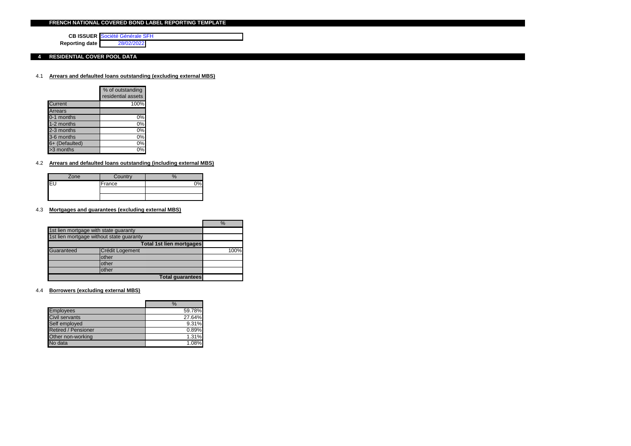#### **FRENCH NATIONAL COVERED BOND LABEL REPORTING TEMPLATE**

**CB ISSUER** Société Générale SFH **Reporting date** 28/02/2022

**4 RESIDENTIAL COVER POOL DATA**

#### 4.1 **Arrears and defaulted loans outstanding (excluding external MBS)**

|                | % of outstanding<br>residential assets |
|----------------|----------------------------------------|
| Current        | 100%                                   |
| <b>Arrears</b> |                                        |
| 0-1 months     | 0%                                     |
| 1-2 months     | 0%                                     |
| $2-3$ months   | 0%                                     |
| $3-6$ months   | 0%                                     |
| 6+ (Defaulted) | 0%                                     |
| >3 months      |                                        |

### 4.2 **Arrears and defaulted loans outstanding (including external MBS)**

|   | Zone | Country |  |
|---|------|---------|--|
| ⊏ |      | France  |  |
|   |      |         |  |
|   |      |         |  |

#### 4.3 **Mortgages and guarantees (excluding external MBS)**

|            |                                          |                                 | $\%$ |
|------------|------------------------------------------|---------------------------------|------|
|            | 1st lien mortgage with state guaranty    |                                 |      |
|            | 1st lien mortgage without state guaranty |                                 |      |
|            |                                          | <b>Total 1st lien mortgages</b> |      |
| Guaranteed | Crédit Logement                          |                                 | 100% |
|            | other                                    |                                 |      |
|            | other                                    |                                 |      |
|            | other                                    |                                 |      |
|            |                                          | <b>Total guarantees</b>         |      |

4.4 **Borrowers (excluding external MBS)**

|                            | $\%$     |
|----------------------------|----------|
| <b>Employees</b>           | 59.78%   |
| Civil servants             | 27.64%   |
| Self employed              | 9.31%    |
| <b>Retired / Pensioner</b> | 0.89%    |
| Other non-working          | 1.31%    |
| No data                    | $1.08\%$ |